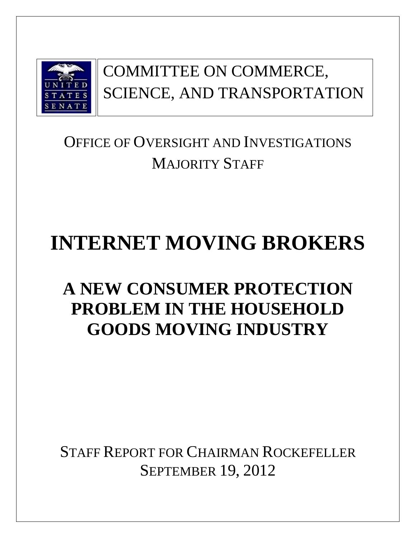

# COMMITTEE ON COMMERCE, SCIENCE, AND TRANSPORTATION

# OFFICE OF OVERSIGHT AND INVESTIGATIONS MAJORITY STAFF

# **INTERNET MOVING BROKERS**

# **A NEW CONSUMER PROTECTION PROBLEM IN THE HOUSEHOLD GOODS MOVING INDUSTRY**

STAFF REPORT FOR CHAIRMAN ROCKEFELLER SEPTEMBER 19, 2012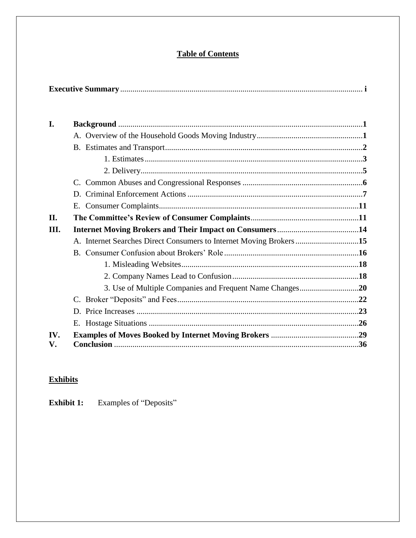### **Table of Contents**

| I.   |                                                                    |  |
|------|--------------------------------------------------------------------|--|
|      |                                                                    |  |
|      |                                                                    |  |
|      |                                                                    |  |
|      |                                                                    |  |
|      |                                                                    |  |
|      |                                                                    |  |
|      |                                                                    |  |
| II.  |                                                                    |  |
| III. |                                                                    |  |
|      | A. Internet Searches Direct Consumers to Internet Moving Brokers15 |  |
|      |                                                                    |  |
|      |                                                                    |  |
|      |                                                                    |  |
|      |                                                                    |  |
|      |                                                                    |  |
|      |                                                                    |  |
|      |                                                                    |  |
| IV.  |                                                                    |  |
| V.   |                                                                    |  |

## **Exhibits**

**Exhibit 1:** Examples of "Deposits"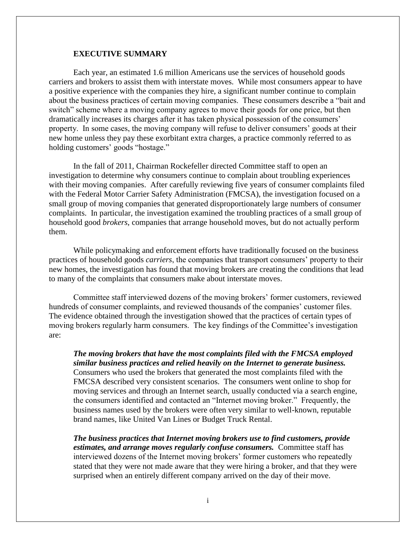#### **EXECUTIVE SUMMARY**

Each year, an estimated 1.6 million Americans use the services of household goods carriers and brokers to assist them with interstate moves. While most consumers appear to have a positive experience with the companies they hire, a significant number continue to complain about the business practices of certain moving companies. These consumers describe a "bait and switch" scheme where a moving company agrees to move their goods for one price, but then dramatically increases its charges after it has taken physical possession of the consumers' property. In some cases, the moving company will refuse to deliver consumers' goods at their new home unless they pay these exorbitant extra charges, a practice commonly referred to as holding customers' goods "hostage."

In the fall of 2011, Chairman Rockefeller directed Committee staff to open an investigation to determine why consumers continue to complain about troubling experiences with their moving companies. After carefully reviewing five years of consumer complaints filed with the Federal Motor Carrier Safety Administration (FMCSA), the investigation focused on a small group of moving companies that generated disproportionately large numbers of consumer complaints. In particular, the investigation examined the troubling practices of a small group of household good *brokers*, companies that arrange household moves, but do not actually perform them.

While policymaking and enforcement efforts have traditionally focused on the business practices of household goods *carriers*, the companies that transport consumers' property to their new homes, the investigation has found that moving brokers are creating the conditions that lead to many of the complaints that consumers make about interstate moves.

Committee staff interviewed dozens of the moving brokers' former customers, reviewed hundreds of consumer complaints, and reviewed thousands of the companies' customer files. The evidence obtained through the investigation showed that the practices of certain types of moving brokers regularly harm consumers. The key findings of the Committee's investigation are:

*The moving brokers that have the most complaints filed with the FMCSA employed similar business practices and relied heavily on the Internet to generate business.*  Consumers who used the brokers that generated the most complaints filed with the FMCSA described very consistent scenarios. The consumers went online to shop for moving services and through an Internet search, usually conducted via a search engine, the consumers identified and contacted an "Internet moving broker." Frequently, the business names used by the brokers were often very similar to well-known, reputable brand names, like United Van Lines or Budget Truck Rental.

*The business practices that Internet moving brokers use to find customers, provide estimates, and arrange moves regularly confuse consumers.* Committee staff has interviewed dozens of the Internet moving brokers' former customers who repeatedly stated that they were not made aware that they were hiring a broker, and that they were surprised when an entirely different company arrived on the day of their move.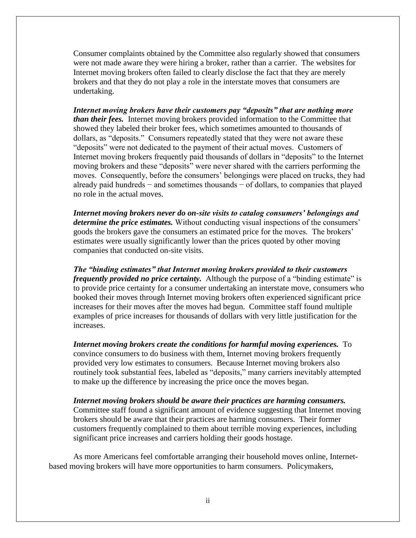Consumer complaints obtained by the Committee also regularly showed that consumers were not made aware they were hiring a broker, rather than a carrier. The websites for Internet moving brokers often failed to clearly disclose the fact that they are merely brokers and that they do not play a role in the interstate moves that consumers are undertaking.

*Internet moving brokers have their customers pay "deposits" that are nothing more than their fees.* Internet moving brokers provided information to the Committee that showed they labeled their broker fees, which sometimes amounted to thousands of dollars, as "deposits." Consumers repeatedly stated that they were not aware these "deposits" were not dedicated to the payment of their actual moves. Customers of Internet moving brokers frequently paid thousands of dollars in "deposits" to the Internet moving brokers and these "deposits" were never shared with the carriers performing the moves. Consequently, before the consumers' belongings were placed on trucks, they had already paid hundreds − and sometimes thousands − of dollars, to companies that played no role in the actual moves.

*Internet moving brokers never do on-site visits to catalog consumers' belongings and determine the price estimates.* Without conducting visual inspections of the consumers' goods the brokers gave the consumers an estimated price for the moves. The brokers' estimates were usually significantly lower than the prices quoted by other moving companies that conducted on-site visits.

*The "binding estimates" that Internet moving brokers provided to their customers frequently provided no price certainty.* Although the purpose of a "binding estimate" is to provide price certainty for a consumer undertaking an interstate move, consumers who booked their moves through Internet moving brokers often experienced significant price increases for their moves after the moves had begun. Committee staff found multiple examples of price increases for thousands of dollars with very little justification for the increases.

*Internet moving brokers create the conditions for harmful moving experiences.* **To** convince consumers to do business with them, Internet moving brokers frequently provided very low estimates to consumers. Because Internet moving brokers also routinely took substantial fees, labeled as "deposits," many carriers inevitably attempted to make up the difference by increasing the price once the moves began.

*Internet moving brokers should be aware their practices are harming consumers.*  Committee staff found a significant amount of evidence suggesting that Internet moving brokers should be aware that their practices are harming consumers. Their former customers frequently complained to them about terrible moving experiences, including significant price increases and carriers holding their goods hostage.

As more Americans feel comfortable arranging their household moves online, Internetbased moving brokers will have more opportunities to harm consumers. Policymakers,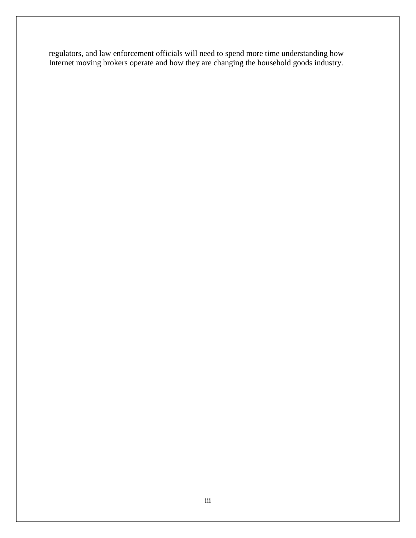regulators, and law enforcement officials will need to spend more time understanding how Internet moving brokers operate and how they are changing the household goods industry.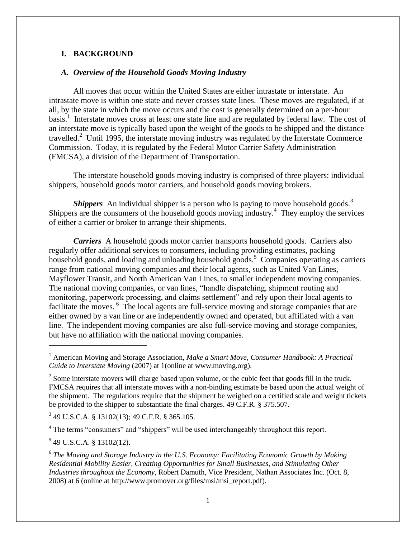#### **I. BACKGROUND**

#### *A. Overview of the Household Goods Moving Industry*

All moves that occur within the United States are either intrastate or interstate. An intrastate move is within one state and never crosses state lines. These moves are regulated, if at all, by the state in which the move occurs and the cost is generally determined on a per-hour basis.<sup>1</sup> Interstate moves cross at least one state line and are regulated by federal law. The cost of an interstate move is typically based upon the weight of the goods to be shipped and the distance travelled.<sup>2</sup> Until 1995, the interstate moving industry was regulated by the Interstate Commerce Commission. Today, it is regulated by the Federal Motor Carrier Safety Administration (FMCSA), a division of the Department of Transportation.

The interstate household goods moving industry is comprised of three players: individual shippers, household goods motor carriers, and household goods moving brokers.

**Shippers** An individual shipper is a person who is paying to move household goods.<sup>3</sup> Shippers are the consumers of the household goods moving industry.<sup>4</sup> They employ the services of either a carrier or broker to arrange their shipments.

*Carriers* A household goods motor carrier transports household goods. Carriers also regularly offer additional services to consumers, including providing estimates, packing household goods, and loading and unloading household goods.<sup>5</sup> Companies operating as carriers range from national moving companies and their local agents, such as United Van Lines, Mayflower Transit, and North American Van Lines, to smaller independent moving companies. The national moving companies, or van lines, "handle dispatching, shipment routing and monitoring, paperwork processing, and claims settlement" and rely upon their local agents to facilitate the moves.<sup>6</sup> The local agents are full-service moving and storage companies that are either owned by a van line or are independently owned and operated, but affiliated with a van line.The independent moving companies are also full-service moving and storage companies, but have no affiliation with the national moving companies.

3 49 U.S.C.A. § 13102(13); 49 C.F.R. § 365.105.

<sup>4</sup> The terms "consumers" and "shippers" will be used interchangeably throughout this report.

 $5$  49 U.S.C.A. § 13102(12).

 $\overline{\phantom{0}}$ 

<sup>1</sup> American Moving and Storage Association, *Make a Smart Move, Consumer Handbook: A Practical Guide to Interstate Moving* (2007) at 1(online at www.moving.org).

 $2^{2}$  Some interstate movers will charge based upon volume, or the cubic feet that goods fill in the truck. FMCSA requires that all interstate moves with a non-binding estimate be based upon the actual weight of the shipment. The regulations require that the shipment be weighed on a certified scale and weight tickets be provided to the shipper to substantiate the final charges. 49 C.F.R. § 375.507.

<sup>&</sup>lt;sup>6</sup> The Moving and Storage Industry in the U.S. Economy: Facilitating Economic Growth by Making *Residential Mobility Easier, Creating Opportunities for Small Businesses, and Stimulating Other Industries throughout the Economy*, Robert Damuth, Vice President, Nathan Associates Inc. (Oct. 8, 2008) at 6 (online at http://www.promover.org/files/msi/msi\_report.pdf).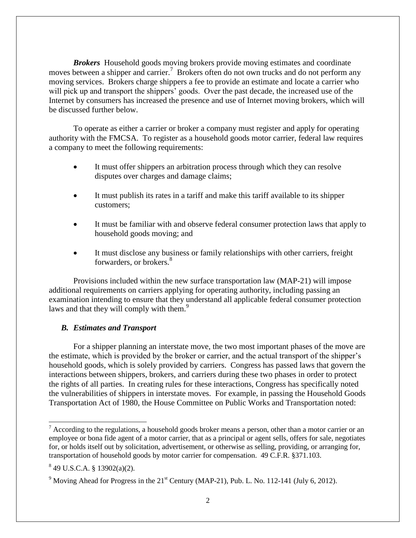*Brokers* Household goods moving brokers provide moving estimates and coordinate moves between a shipper and carrier.<sup>7</sup> Brokers often do not own trucks and do not perform any moving services. Brokers charge shippers a fee to provide an estimate and locate a carrier who will pick up and transport the shippers' goods. Over the past decade, the increased use of the Internet by consumers has increased the presence and use of Internet moving brokers, which will be discussed further below.

To operate as either a carrier or broker a company must register and apply for operating authority with the FMCSA. To register as a household goods motor carrier, federal law requires a company to meet the following requirements:

- It must offer shippers an arbitration process through which they can resolve disputes over charges and damage claims;
- It must publish its rates in a tariff and make this tariff available to its shipper customers;
- It must be familiar with and observe federal consumer protection laws that apply to household goods moving; and
- It must disclose any business or family relationships with other carriers, freight forwarders, or brokers.<sup>8</sup>

Provisions included within the new surface transportation law (MAP-21) will impose additional requirements on carriers applying for operating authority, including passing an examination intending to ensure that they understand all applicable federal consumer protection laws and that they will comply with them.<sup>9</sup>

#### *B. Estimates and Transport*

For a shipper planning an interstate move, the two most important phases of the move are the estimate, which is provided by the broker or carrier, and the actual transport of the shipper's household goods, which is solely provided by carriers. Congress has passed laws that govern the interactions between shippers, brokers, and carriers during these two phases in order to protect the rights of all parties. In creating rules for these interactions, Congress has specifically noted the vulnerabilities of shippers in interstate moves. For example, in passing the Household Goods Transportation Act of 1980, the House Committee on Public Works and Transportation noted:

 $\overline{\phantom{0}}$ 

 $<sup>7</sup>$  According to the regulations, a household goods broker means a person, other than a motor carrier or an</sup> employee or bona fide agent of a motor carrier, that as a principal or agent sells, offers for sale, negotiates for, or holds itself out by solicitation, advertisement, or otherwise as selling, providing, or arranging for, transportation of household goods by motor carrier for compensation. 49 C.F.R. §371.103.

 $849$  U.S.C.A. § 13902(a)(2).

 $9$  Moving Ahead for Progress in the  $21<sup>st</sup>$  Century (MAP-21), Pub. L. No. 112-141 (July 6, 2012).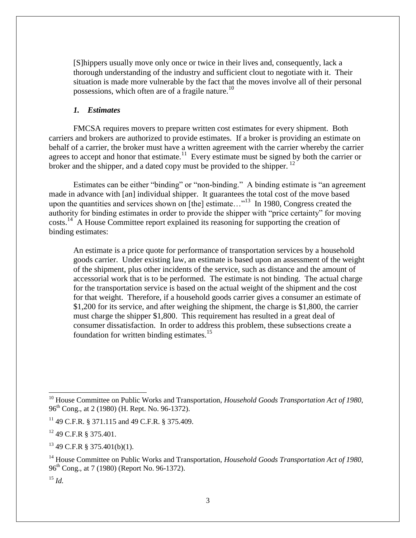[S]hippers usually move only once or twice in their lives and, consequently, lack a thorough understanding of the industry and sufficient clout to negotiate with it. Their situation is made more vulnerable by the fact that the moves involve all of their personal possessions, which often are of a fragile nature.<sup>10</sup>

#### *1. Estimates*

FMCSA requires movers to prepare written cost estimates for every shipment. Both carriers and brokers are authorized to provide estimates. If a broker is providing an estimate on behalf of a carrier, the broker must have a written agreement with the carrier whereby the carrier agrees to accept and honor that estimate.<sup>11</sup> Every estimate must be signed by both the carrier or broker and the shipper, and a dated copy must be provided to the shipper.  $^{12}$ 

Estimates can be either "binding" or "non-binding." A binding estimate is "an agreement made in advance with [an] individual shipper. It guarantees the total cost of the move based upon the quantities and services shown on  $[the]$  estimate..."<sup>13</sup> In 1980, Congress created the authority for binding estimates in order to provide the shipper with "price certainty" for moving costs.<sup>14</sup> A House Committee report explained its reasoning for supporting the creation of binding estimates:

An estimate is a price quote for performance of transportation services by a household goods carrier. Under existing law, an estimate is based upon an assessment of the weight of the shipment, plus other incidents of the service, such as distance and the amount of accessorial work that is to be performed. The estimate is not binding. The actual charge for the transportation service is based on the actual weight of the shipment and the cost for that weight. Therefore, if a household goods carrier gives a consumer an estimate of \$1,200 for its service, and after weighing the shipment, the charge is \$1,800, the carrier must charge the shipper \$1,800. This requirement has resulted in a great deal of consumer dissatisfaction. In order to address this problem, these subsections create a foundation for written binding estimates.<sup>15</sup>

 $13$  49 C.F.R § 375.401(b)(1).

<sup>&</sup>lt;sup>10</sup> House Committee on Public Works and Transportation, *Household Goods Transportation Act of 1980*,  $96^{th}$  Cong., at 2 (1980) (H. Rept. No. 96-1372).

<sup>&</sup>lt;sup>11</sup> 49 C.F.R. § 371.115 and 49 C.F.R. § 375.409.

<sup>12</sup> 49 C.F.R § 375.401.

<sup>&</sup>lt;sup>14</sup> House Committee on Public Works and Transportation, *Household Goods Transportation Act of 1980*, 96th Cong., at 7 (1980) (Report No. 96-1372).

<sup>15</sup> *Id.*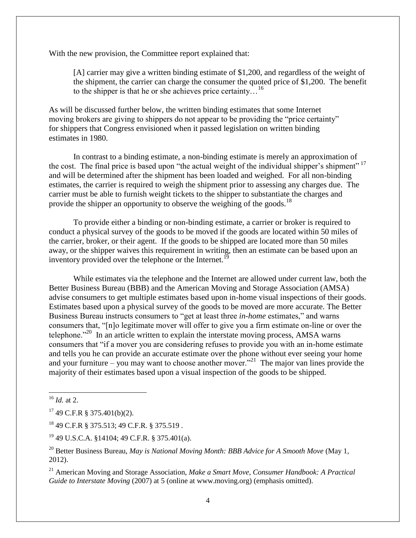With the new provision, the Committee report explained that:

[A] carrier may give a written binding estimate of \$1,200, and regardless of the weight of the shipment, the carrier can charge the consumer the quoted price of \$1,200. The benefit to the shipper is that he or she achieves price certainty...<sup>16</sup>

As will be discussed further below, the written binding estimates that some Internet moving brokers are giving to shippers do not appear to be providing the "price certainty" for shippers that Congress envisioned when it passed legislation on written binding estimates in 1980.

In contrast to a binding estimate, a non-binding estimate is merely an approximation of the cost. The final price is based upon "the actual weight of the individual shipper's shipment" <sup>17</sup> and will be determined after the shipment has been loaded and weighed. For all non-binding estimates, the carrier is required to weigh the shipment prior to assessing any charges due. The carrier must be able to furnish weight tickets to the shipper to substantiate the charges and provide the shipper an opportunity to observe the weighing of the goods.<sup>18</sup>

To provide either a binding or non-binding estimate, a carrier or broker is required to conduct a physical survey of the goods to be moved if the goods are located within 50 miles of the carrier, broker, or their agent. If the goods to be shipped are located more than 50 miles away, or the shipper waives this requirement in writing, then an estimate can be based upon an inventory provided over the telephone or the Internet.<sup>19</sup>

While estimates via the telephone and the Internet are allowed under current law, both the Better Business Bureau (BBB) and the American Moving and Storage Association (AMSA) advise consumers to get multiple estimates based upon in-home visual inspections of their goods. Estimates based upon a physical survey of the goods to be moved are more accurate. The Better Business Bureau instructs consumers to "get at least three *in-home* estimates," and warns consumers that, "[n]o legitimate mover will offer to give you a firm estimate on-line or over the telephone. $^{220}$  In an article written to explain the interstate moving process, AMSA warns consumers that "if a mover you are considering refuses to provide you with an in-home estimate and tells you he can provide an accurate estimate over the phone without ever seeing your home and your furniture – you may want to choose another mover."<sup>21</sup> The major van lines provide the majority of their estimates based upon a visual inspection of the goods to be shipped.

l

 $17$  49 C.F.R § 375.401(b)(2).

<sup>18</sup> 49 C.F.R § 375.513; 49 C.F.R. § 375.519 .

<sup>19</sup> 49 U.S.C.A. §14104; 49 C.F.R. § 375.401(a).

<sup>20</sup> Better Business Bureau, *May is National Moving Month: BBB Advice for A Smooth Move* (May 1, 2012).

<sup>21</sup> American Moving and Storage Association, *Make a Smart Move, Consumer Handbook: A Practical Guide to Interstate Moving* (2007) at 5 (online at www.moving.org) (emphasis omitted).

<sup>16</sup> *Id.* at 2.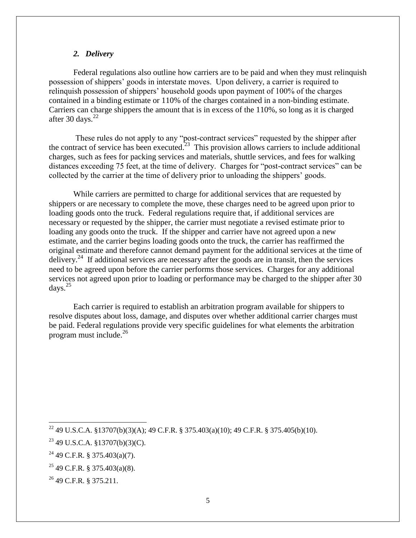#### *2. Delivery*

Federal regulations also outline how carriers are to be paid and when they must relinquish possession of shippers' goods in interstate moves. Upon delivery, a carrier is required to relinquish possession of shippers' household goods upon payment of 100% of the charges contained in a binding estimate or 110% of the charges contained in a non-binding estimate. Carriers can charge shippers the amount that is in excess of the 110%, so long as it is charged after 30 days. $22$ 

These rules do not apply to any "post-contract services" requested by the shipper after the contract of service has been executed.<sup>23</sup> This provision allows carriers to include additional charges, such as fees for packing services and materials, shuttle services, and fees for walking distances exceeding 75 feet, at the time of delivery. Charges for "post-contract services" can be collected by the carrier at the time of delivery prior to unloading the shippers' goods.

While carriers are permitted to charge for additional services that are requested by shippers or are necessary to complete the move, these charges need to be agreed upon prior to loading goods onto the truck. Federal regulations require that, if additional services are necessary or requested by the shipper, the carrier must negotiate a revised estimate prior to loading any goods onto the truck. If the shipper and carrier have not agreed upon a new estimate, and the carrier begins loading goods onto the truck, the carrier has reaffirmed the original estimate and therefore cannot demand payment for the additional services at the time of delivery.<sup>24</sup> If additional services are necessary after the goods are in transit, then the services need to be agreed upon before the carrier performs those services. Charges for any additional services not agreed upon prior to loading or performance may be charged to the shipper after 30 days. $^{25}$ 

Each carrier is required to establish an arbitration program available for shippers to resolve disputes about loss, damage, and disputes over whether additional carrier charges must be paid. Federal regulations provide very specific guidelines for what elements the arbitration program must include. $^{26}$ 

 $\overline{a}$ 

<sup>&</sup>lt;sup>22</sup> 49 U.S.C.A. §13707(b)(3)(A); 49 C.F.R. § 375.403(a)(10); 49 C.F.R. § 375.405(b)(10).

 $23$  49 U.S.C.A. §13707(b)(3)(C).

 $24$  49 C.F.R. § 375.403(a)(7).

<sup>25</sup> 49 C.F.R. § 375.403(a)(8).

<sup>26</sup> 49 C.F.R. § 375.211.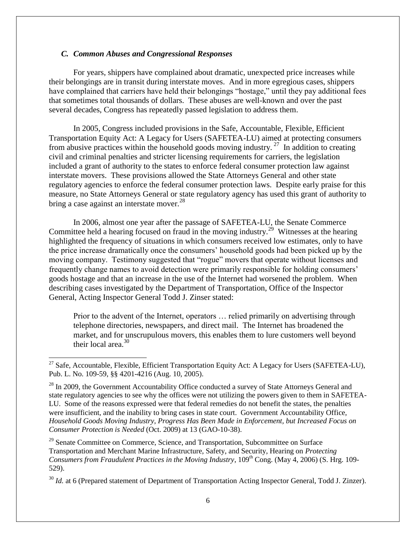#### *C. Common Abuses and Congressional Responses*

 $\overline{\phantom{0}}$ 

For years, shippers have complained about dramatic, unexpected price increases while their belongings are in transit during interstate moves. And in more egregious cases, shippers have complained that carriers have held their belongings "hostage," until they pay additional fees that sometimes total thousands of dollars. These abuses are well-known and over the past several decades, Congress has repeatedly passed legislation to address them.

In 2005, Congress included provisions in the Safe, Accountable, Flexible, Efficient Transportation Equity Act: A Legacy for Users (SAFETEA-LU) aimed at protecting consumers from abusive practices within the household goods moving industry.<sup>27</sup> In addition to creating civil and criminal penalties and stricter licensing requirements for carriers, the legislation included a grant of authority to the states to enforce federal consumer protection law against interstate movers. These provisions allowed the State Attorneys General and other state regulatory agencies to enforce the federal consumer protection laws. Despite early praise for this measure, no State Attorneys General or state regulatory agency has used this grant of authority to bring a case against an interstate mover. $^{28}$ 

In 2006, almost one year after the passage of SAFETEA-LU, the Senate Commerce Committee held a hearing focused on fraud in the moving industry.<sup>29</sup> Witnesses at the hearing highlighted the frequency of situations in which consumers received low estimates, only to have the price increase dramatically once the consumers' household goods had been picked up by the moving company. Testimony suggested that "rogue" movers that operate without licenses and frequently change names to avoid detection were primarily responsible for holding consumers' goods hostage and that an increase in the use of the Internet had worsened the problem. When describing cases investigated by the Department of Transportation, Office of the Inspector General, Acting Inspector General Todd J. Zinser stated:

Prior to the advent of the Internet, operators … relied primarily on advertising through telephone directories, newspapers, and direct mail. The Internet has broadened the market, and for unscrupulous movers, this enables them to lure customers well beyond their local area. $30$ 

<sup>29</sup> Senate Committee on Commerce, Science, and Transportation, Subcommittee on Surface Transportation and Merchant Marine Infrastructure, Safety, and Security, Hearing on *Protecting Consumers from Fraudulent Practices in the Moving Industry*, 109<sup>th</sup> Cong. (May 4, 2006) (S. Hrg. 109-529).

<sup>30</sup> *Id.* at 6 (Prepared statement of Department of Transportation Acting Inspector General, Todd J. Zinzer).

 $^{27}$  Safe, Accountable, Flexible, Efficient Transportation Equity Act: A Legacy for Users (SAFETEA-LU), Pub. L. No. 109-59, §§ 4201-4216 (Aug. 10, 2005).

 $28$  In 2009, the Government Accountability Office conducted a survey of State Attorneys General and state regulatory agencies to see why the offices were not utilizing the powers given to them in SAFETEA-LU. Some of the reasons expressed were that federal remedies do not benefit the states, the penalties were insufficient, and the inability to bring cases in state court. Government Accountability Office, *Household Goods Moving Industry, Progress Has Been Made in Enforcement, but Increased Focus on Consumer Protection is Needed* (Oct. 2009) at 13 (GAO-10-38).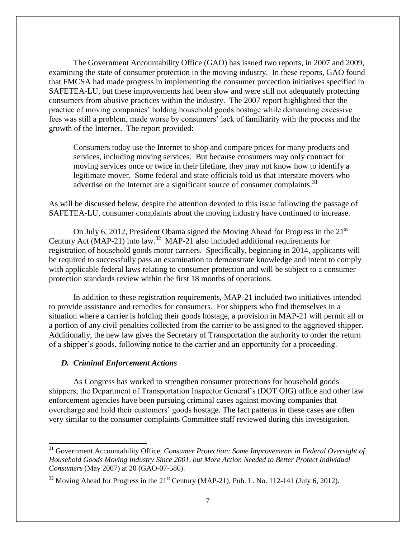The Government Accountability Office (GAO) has issued two reports, in 2007 and 2009, examining the state of consumer protection in the moving industry. In these reports, GAO found that FMCSA had made progress in implementing the consumer protection initiatives specified in SAFETEA-LU, but these improvements had been slow and were still not adequately protecting consumers from abusive practices within the industry. The 2007 report highlighted that the practice of moving companies' holding household goods hostage while demanding excessive fees was still a problem, made worse by consumers' lack of familiarity with the process and the growth of the Internet. The report provided:

Consumers today use the Internet to shop and compare prices for many products and services, including moving services. But because consumers may only contract for moving services once or twice in their lifetime, they may not know how to identify a legitimate mover. Some federal and state officials told us that interstate movers who advertise on the Internet are a significant source of consumer complaints.<sup>31</sup>

As will be discussed below, despite the attention devoted to this issue following the passage of SAFETEA-LU, consumer complaints about the moving industry have continued to increase.

On July 6, 2012, President Obama signed the Moving Ahead for Progress in the 21<sup>st</sup> Century Act (MAP-21) into law.<sup>32</sup> MAP-21 also included additional requirements for registration of household goods motor carriers. Specifically, beginning in 2014, applicants will be required to successfully pass an examination to demonstrate knowledge and intent to comply with applicable federal laws relating to consumer protection and will be subject to a consumer protection standards review within the first 18 months of operations.

In addition to these registration requirements, MAP-21 included two initiatives intended to provide assistance and remedies for consumers. For shippers who find themselves in a situation where a carrier is holding their goods hostage, a provision in MAP-21 will permit all or a portion of any civil penalties collected from the carrier to be assigned to the aggrieved shipper. Additionally, the new law gives the Secretary of Transportation the authority to order the return of a shipper's goods, following notice to the carrier and an opportunity for a proceeding.

#### *D. Criminal Enforcement Actions*

l

As Congress has worked to strengthen consumer protections for household goods shippers, the Department of Transportation Inspector General's (DOT OIG) office and other law enforcement agencies have been pursuing criminal cases against moving companies that overcharge and hold their customers' goods hostage. The fact patterns in these cases are often very similar to the consumer complaints Committee staff reviewed during this investigation.

<sup>&</sup>lt;sup>31</sup> Government Accountability Office, *Consumer Protection: Some Improvements in Federal Oversight of Household Goods Moving Industry Since 2001, but More Action Needed to Better Protect Individual Consumers* (May 2007) at 20 (GAO-07-586).

 $32$  Moving Ahead for Progress in the  $21<sup>st</sup>$  Century (MAP-21), Pub. L. No. 112-141 (July 6, 2012).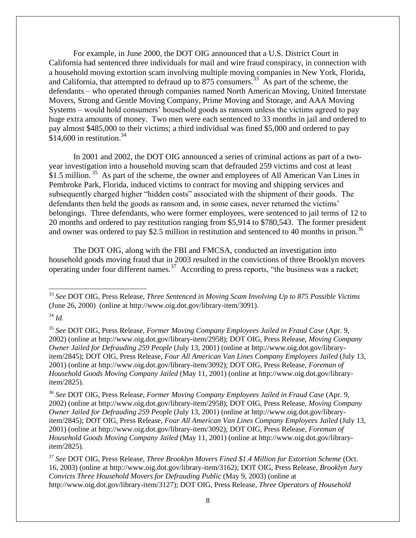For example, in June 2000, the DOT OIG announced that a U.S. District Court in California had sentenced three individuals for mail and wire fraud conspiracy, in connection with a household moving extortion scam involving multiple moving companies in New York, Florida, and California, that attempted to defraud up to  $875$  consumers.<sup>33</sup> As part of the scheme, the defendants – who operated through companies named North American Moving, United Interstate Movers, Strong and Gentle Moving Company, Prime Moving and Storage, and AAA Moving Systems – would hold consumers' household goods as ransom unless the victims agreed to pay huge extra amounts of money. Two men were each sentenced to 33 months in jail and ordered to pay almost \$485,000 to their victims; a third individual was fined \$5,000 and ordered to pay \$14,600 in restitution.<sup>34</sup>

In 2001 and 2002, the DOT OIG announced a series of criminal actions as part of a twoyear investigation into a household moving scam that defrauded 259 victims and cost at least \$1.5 million.<sup>35</sup> As part of the scheme, the owner and employees of All American Van Lines in Pembroke Park, Florida, induced victims to contract for moving and shipping services and subsequently charged higher "hidden costs" associated with the shipment of their goods. The defendants then held the goods as ransom and, in some cases, never returned the victims' belongings. Three defendants, who were former employees, were sentenced to jail terms of 12 to 20 months and ordered to pay restitution ranging from \$5,914 to \$780,543. The former president and owner was ordered to pay \$2.5 million in restitution and sentenced to 40 months in prison.<sup>36</sup>

The DOT OIG, along with the FBI and FMCSA, conducted an investigation into household goods moving fraud that in 2003 resulted in the convictions of three Brooklyn movers operating under four different names.<sup>37</sup> According to press reports, "the business was a racket;

<sup>34</sup> *Id.*

 $\overline{\phantom{0}}$ 

<sup>37</sup> *See* DOT OIG, Press Release, *Three Brooklyn Movers Fined \$1.4 Million for Extortion Scheme* (Oct. 16, 2003) (online at http://www.oig.dot.gov/library-item/3162); DOT OIG, Press Release, *Brooklyn Jury Convicts Three Household Movers for Defrauding Public* (May 9, 2003) (online at http://www.oig.dot.gov/library-item/3127); DOT OIG, Press Release, *Three Operators of Household* 

<sup>33</sup> *See* DOT OIG, Press Release, *Three Sentenced in Moving Scam Involving Up to 875 Possible Victims* (June 26, 2000) (online at http://www.oig.dot.gov/library-item/3091).

<sup>35</sup> *See* DOT OIG, Press Release, *Former Moving Company Employees Jailed in Fraud Case* (Apr. 9, 2002) (online at http://www.oig.dot.gov/library-item/2958); DOT OIG, Press Release, *Moving Company Owner Jailed for Defrauding 259 People* (July 13, 2001) (online at http://www.oig.dot.gov/libraryitem/2845); DOT OIG, Press Release, *Four All American Van Lines Company Employees Jailed* (July 13, 2001) (online at http://www.oig.dot.gov/library-item/3092); DOT OIG, Press Release, *Foreman of Household Goods Moving Company Jailed* (May 11, 2001) (online at http://www.oig.dot.gov/libraryitem/2825).

<sup>36</sup> *See* DOT OIG, Press Release, *Former Moving Company Employees Jailed in Fraud Case* (Apr. 9, 2002) (online at http://www.oig.dot.gov/library-item/2958); DOT OIG, Press Release, *Moving Company Owner Jailed for Defrauding 259 People* (July 13, 2001) (online at http://www.oig.dot.gov/libraryitem/2845); DOT OIG, Press Release, *Four All American Van Lines Company Employees Jailed* (July 13, 2001) (online at http://www.oig.dot.gov/library-item/3092); DOT OIG, Press Release, *Foreman of Household Goods Moving Company Jailed* (May 11, 2001) (online at http://www.oig.dot.gov/libraryitem/2825).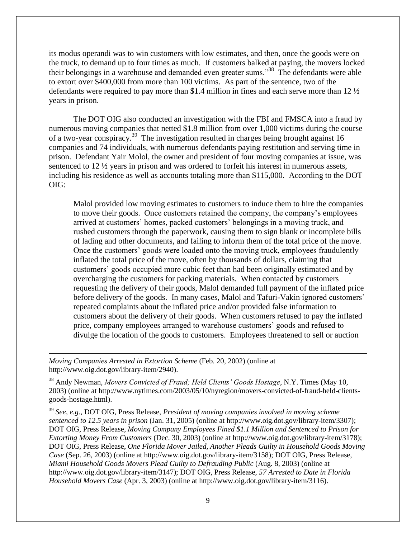its modus operandi was to win customers with low estimates, and then, once the goods were on the truck, to demand up to four times as much. If customers balked at paying, the movers locked their belongings in a warehouse and demanded even greater sums."<sup>38</sup> The defendants were able to extort over \$400,000 from more than 100 victims. As part of the sentence, two of the defendants were required to pay more than \$1.4 million in fines and each serve more than 12 ½ years in prison.

The DOT OIG also conducted an investigation with the FBI and FMSCA into a fraud by numerous moving companies that netted \$1.8 million from over 1,000 victims during the course of a two-year conspiracy.<sup>39</sup> The investigation resulted in charges being brought against 16 companies and 74 individuals, with numerous defendants paying restitution and serving time in prison. Defendant Yair Molol, the owner and president of four moving companies at issue, was sentenced to 12 ½ years in prison and was ordered to forfeit his interest in numerous assets, including his residence as well as accounts totaling more than \$115,000. According to the DOT OIG:

Malol provided low moving estimates to customers to induce them to hire the companies to move their goods. Once customers retained the company, the company's employees arrived at customers' homes, packed customers' belongings in a moving truck, and rushed customers through the paperwork, causing them to sign blank or incomplete bills of lading and other documents, and failing to inform them of the total price of the move. Once the customers' goods were loaded onto the moving truck, employees fraudulently inflated the total price of the move, often by thousands of dollars, claiming that customers' goods occupied more cubic feet than had been originally estimated and by overcharging the customers for packing materials. When contacted by customers requesting the delivery of their goods, Malol demanded full payment of the inflated price before delivery of the goods. In many cases, Malol and Tafuri-Vakin ignored customers' repeated complaints about the inflated price and/or provided false information to customers about the delivery of their goods. When customers refused to pay the inflated price, company employees arranged to warehouse customers' goods and refused to divulge the location of the goods to customers. Employees threatened to sell or auction

*Moving Companies Arrested in Extortion Scheme* (Feb. 20, 2002) (online at http://www.oig.dot.gov/library-item/2940).

l

<sup>38</sup> Andy Newman, *Movers Convicted of Fraud; Held Clients' Goods Hostage*, N.Y. Times (May 10, 2003) (online at [http://www.nytimes.com/2003/05/10/nyregion/movers-convicted-of-fraud-held-clients](http://www.nytimes.com/2003/05/10/nyregion/movers-convicted-of-fraud-held-clients-goods-hostage.html)[goods-hostage.html\)](http://www.nytimes.com/2003/05/10/nyregion/movers-convicted-of-fraud-held-clients-goods-hostage.html).

<sup>39</sup> *See, e.g.*, DOT OIG, Press Release, *President of moving companies involved in moving scheme sentenced to 12.5 years in prison* (Jan. 31, 2005) (online at http://www.oig.dot.gov/library-item/3307); DOT OIG, Press Release, *Moving Company Employees Fined \$1.1 Million and Sentenced to Prison for Extorting Money From Customers* (Dec. 30, 2003) (online at http://www.oig.dot.gov/library-item/3178); DOT OIG, Press Release, *One Florida Mover Jailed, Another Pleads Guilty in Household Goods Moving Case* (Sep. 26, 2003) (online at http://www.oig.dot.gov/library-item/3158); DOT OIG, Press Release, *Miami Household Goods Movers Plead Guilty to Defrauding Public* (Aug. 8, 2003) (online at http://www.oig.dot.gov/library-item/3147); DOT OIG, Press Release, *57 Arrested to Date in Florida Household Movers Case* (Apr. 3, 2003) (online at http://www.oig.dot.gov/library-item/3116).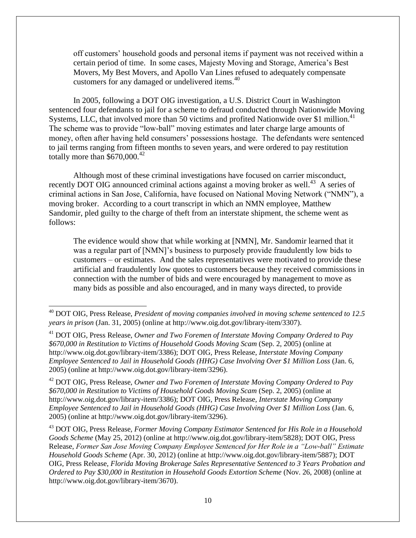off customers' household goods and personal items if payment was not received within a certain period of time. In some cases, Majesty Moving and Storage, America's Best Movers, My Best Movers, and Apollo Van Lines refused to adequately compensate customers for any damaged or undelivered items.<sup>40</sup>

In 2005, following a DOT OIG investigation, a U.S. District Court in Washington sentenced four defendants to jail for a scheme to defraud conducted through Nationwide Moving Systems, LLC, that involved more than 50 victims and profited Nationwide over \$1 million.<sup>41</sup> The scheme was to provide "low-ball" moving estimates and later charge large amounts of money, often after having held consumers' possessions hostage. The defendants were sentenced to jail terms ranging from fifteen months to seven years, and were ordered to pay restitution totally more than  $$670,000.<sup>42</sup>$ 

Although most of these criminal investigations have focused on carrier misconduct, recently DOT OIG announced criminal actions against a moving broker as well.<sup>43</sup> A series of criminal actions in San Jose, California, have focused on National Moving Network ("NMN"), a moving broker. According to a court transcript in which an NMN employee, Matthew Sandomir, pled guilty to the charge of theft from an interstate shipment, the scheme went as follows:

The evidence would show that while working at [NMN], Mr. Sandomir learned that it was a regular part of [NMN]'s business to purposely provide fraudulently low bids to customers – or estimates. And the sales representatives were motivated to provide these artificial and fraudulently low quotes to customers because they received commissions in connection with the number of bids and were encouraged by management to move as many bids as possible and also encouraged, and in many ways directed, to provide

l

<sup>42</sup> DOT OIG, Press Release, *Owner and Two Foremen of Interstate Moving Company Ordered to Pay \$670,000 in Restitution to Victims of Household Goods Moving Scam* (Sep. 2, 2005) (online at http://www.oig.dot.gov/library-item/3386); DOT OIG, Press Release, *Interstate Moving Company Employee Sentenced to Jail in Household Goods (HHG) Case Involving Over \$1 Million Loss* (Jan. 6, 2005) (online at http://www.oig.dot.gov/library-item/3296).

<sup>43</sup> DOT OIG, Press Release, *Former Moving Company Estimator Sentenced for His Role in a Household Goods Scheme* (May 25, 2012) (online at http://www.oig.dot.gov/library-item/5828); DOT OIG, Press Release, *Former San Jose Moving Company Employee Sentenced for Her Role in a "Low-ball" Estimate Household Goods Scheme* (Apr. 30, 2012) (online at http://www.oig.dot.gov/library-item/5887); DOT OIG, Press Release, *Florida Moving Brokerage Sales Representative Sentenced to 3 Years Probation and Ordered to Pay \$30,000 in Restitution in Household Goods Extortion Scheme* (Nov. 26, 2008) (online at http://www.oig.dot.gov/library-item/3670).

<sup>40</sup> DOT OIG, Press Release, *President of moving companies involved in moving scheme sentenced to 12.5 years in prison* (Jan. 31, 2005) (online at http://www.oig.dot.gov/library-item/3307).

<sup>41</sup> DOT OIG, Press Release, *Owner and Two Foremen of Interstate Moving Company Ordered to Pay \$670,000 in Restitution to Victims of Household Goods Moving Scam* (Sep. 2, 2005) (online at http://www.oig.dot.gov/library-item/3386); DOT OIG, Press Release, *Interstate Moving Company Employee Sentenced to Jail in Household Goods (HHG) Case Involving Over \$1 Million Loss* (Jan. 6, 2005) (online at http://www.oig.dot.gov/library-item/3296).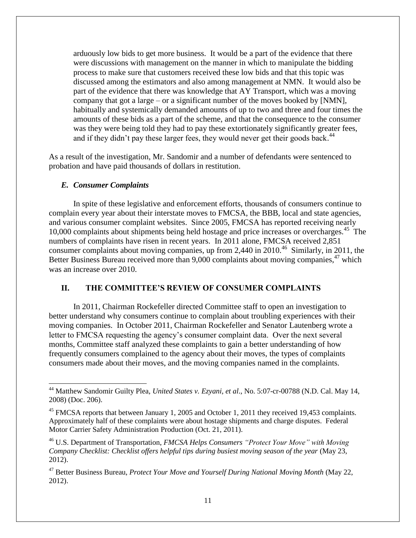arduously low bids to get more business. It would be a part of the evidence that there were discussions with management on the manner in which to manipulate the bidding process to make sure that customers received these low bids and that this topic was discussed among the estimators and also among management at NMN. It would also be part of the evidence that there was knowledge that AY Transport, which was a moving company that got a large – or a significant number of the moves booked by [NMN], habitually and systemically demanded amounts of up to two and three and four times the amounts of these bids as a part of the scheme, and that the consequence to the consumer was they were being told they had to pay these extortionately significantly greater fees, and if they didn't pay these larger fees, they would never get their goods back.<sup>44</sup>

As a result of the investigation, Mr. Sandomir and a number of defendants were sentenced to probation and have paid thousands of dollars in restitution.

#### *E. Consumer Complaints*

 $\overline{\phantom{0}}$ 

In spite of these legislative and enforcement efforts, thousands of consumers continue to complain every year about their interstate moves to FMCSA, the BBB, local and state agencies, and various consumer complaint websites. Since 2005, FMCSA has reported receiving nearly 10,000 complaints about shipments being held hostage and price increases or overcharges.<sup>45</sup> The numbers of complaints have risen in recent years. In 2011 alone, FMCSA received 2,851 consumer complaints about moving companies, up from 2,440 in  $2010<sup>46</sup>$  Similarly, in 2011, the Better Business Bureau received more than 9,000 complaints about moving companies,<sup>47</sup> which was an increase over 2010.

#### **II. THE COMMITTEE'S REVIEW OF CONSUMER COMPLAINTS**

In 2011, Chairman Rockefeller directed Committee staff to open an investigation to better understand why consumers continue to complain about troubling experiences with their moving companies. In October 2011, Chairman Rockefeller and Senator Lautenberg wrote a letter to FMCSA requesting the agency's consumer complaint data. Over the next several months, Committee staff analyzed these complaints to gain a better understanding of how frequently consumers complained to the agency about their moves, the types of complaints consumers made about their moves, and the moving companies named in the complaints.

<sup>44</sup> Matthew Sandomir Guilty Plea, *United States v. Ezyani, et al*., No. 5:07-cr-00788 (N.D. Cal. May 14, 2008) (Doc. 206).

<sup>&</sup>lt;sup>45</sup> FMCSA reports that between January 1, 2005 and October 1, 2011 they received 19,453 complaints. Approximately half of these complaints were about hostage shipments and charge disputes. Federal Motor Carrier Safety Administration Production (Oct. 21, 2011).

<sup>46</sup> U.S. Department of Transportation, *FMCSA Helps Consumers "Protect Your Move" with Moving Company Checklist: Checklist offers helpful tips during busiest moving season of the year* (May 23, 2012).

<sup>47</sup> Better Business Bureau, *Protect Your Move and Yourself During National Moving Month* (May 22, 2012).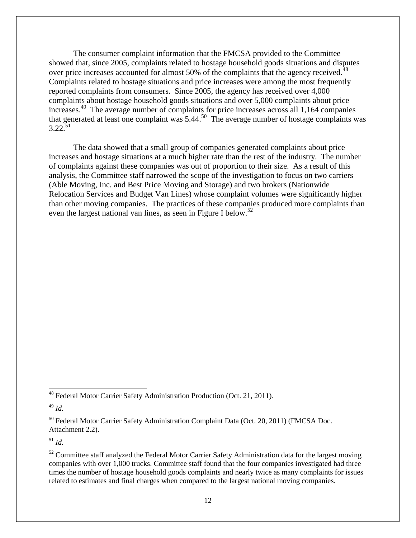The consumer complaint information that the FMCSA provided to the Committee showed that, since 2005, complaints related to hostage household goods situations and disputes over price increases accounted for almost 50% of the complaints that the agency received.<sup>48</sup> Complaints related to hostage situations and price increases were among the most frequently reported complaints from consumers. Since 2005, the agency has received over 4,000 complaints about hostage household goods situations and over 5,000 complaints about price increases.<sup>49</sup> The average number of complaints for price increases across all 1,164 companies that generated at least one complaint was 5.44.<sup>50</sup> The average number of hostage complaints was  $3.22^{51}$ 

The data showed that a small group of companies generated complaints about price increases and hostage situations at a much higher rate than the rest of the industry. The number of complaints against these companies was out of proportion to their size. As a result of this analysis, the Committee staff narrowed the scope of the investigation to focus on two carriers (Able Moving, Inc. and Best Price Moving and Storage) and two brokers (Nationwide Relocation Services and Budget Van Lines) whose complaint volumes were significantly higher than other moving companies. The practices of these companies produced more complaints than even the largest national van lines, as seen in Figure I below.<sup>52</sup>

 $\overline{\phantom{0}}$ 

<sup>51</sup> *Id.*

<sup>&</sup>lt;sup>48</sup> Federal Motor Carrier Safety Administration Production (Oct. 21, 2011).

<sup>49</sup> *Id.*

<sup>&</sup>lt;sup>50</sup> Federal Motor Carrier Safety Administration Complaint Data (Oct. 20, 2011) (FMCSA Doc. Attachment 2.2).

 $52$  Committee staff analyzed the Federal Motor Carrier Safety Administration data for the largest moving companies with over 1,000 trucks. Committee staff found that the four companies investigated had three times the number of hostage household goods complaints and nearly twice as many complaints for issues related to estimates and final charges when compared to the largest national moving companies.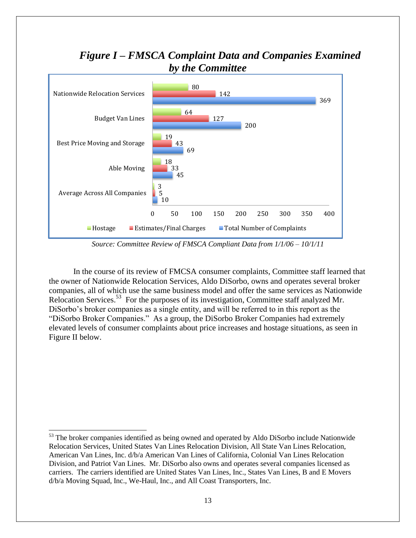## *Figure I – FMSCA Complaint Data and Companies Examined by the Committee*



*Source: Committee Review of FMSCA Compliant Data from 1/1/06 – 10/1/11*

In the course of its review of FMCSA consumer complaints, Committee staff learned that the owner of Nationwide Relocation Services, Aldo DiSorbo, owns and operates several broker companies, all of which use the same business model and offer the same services as Nationwide Relocation Services.<sup>53</sup> For the purposes of its investigation, Committee staff analyzed Mr. DiSorbo's broker companies as a single entity, and will be referred to in this report as the "DiSorbo Broker Companies." As a group, the DiSorbo Broker Companies had extremely elevated levels of consumer complaints about price increases and hostage situations, as seen in Figure II below.

 $\overline{\phantom{0}}$ 

<sup>&</sup>lt;sup>53</sup> The broker companies identified as being owned and operated by Aldo DiSorbo include Nationwide Relocation Services, United States Van Lines Relocation Division, All State Van Lines Relocation, American Van Lines, Inc. d/b/a American Van Lines of California, Colonial Van Lines Relocation Division, and Patriot Van Lines. Mr. DiSorbo also owns and operates several companies licensed as carriers. The carriers identified are United States Van Lines, Inc., States Van Lines, B and E Movers d/b/a Moving Squad, Inc., We-Haul, Inc., and All Coast Transporters, Inc.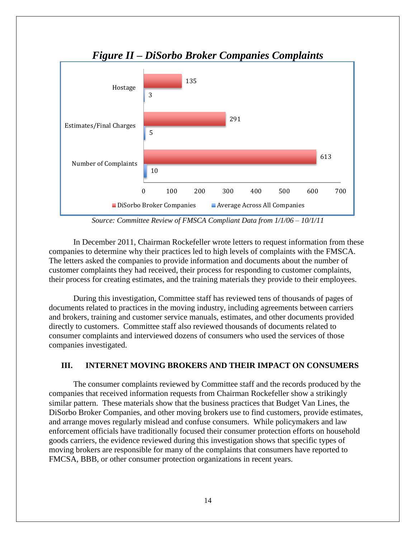

*Figure II – DiSorbo Broker Companies Complaints*

*Source: Committee Review of FMSCA Compliant Data from 1/1/06 – 10/1/11*

In December 2011, Chairman Rockefeller wrote letters to request information from these companies to determine why their practices led to high levels of complaints with the FMSCA. The letters asked the companies to provide information and documents about the number of customer complaints they had received, their process for responding to customer complaints, their process for creating estimates, and the training materials they provide to their employees.

During this investigation, Committee staff has reviewed tens of thousands of pages of documents related to practices in the moving industry, including agreements between carriers and brokers, training and customer service manuals, estimates, and other documents provided directly to customers. Committee staff also reviewed thousands of documents related to consumer complaints and interviewed dozens of consumers who used the services of those companies investigated.

#### **III. INTERNET MOVING BROKERS AND THEIR IMPACT ON CONSUMERS**

The consumer complaints reviewed by Committee staff and the records produced by the companies that received information requests from Chairman Rockefeller show a strikingly similar pattern. These materials show that the business practices that Budget Van Lines, the DiSorbo Broker Companies, and other moving brokers use to find customers, provide estimates, and arrange moves regularly mislead and confuse consumers. While policymakers and law enforcement officials have traditionally focused their consumer protection efforts on household goods carriers, the evidence reviewed during this investigation shows that specific types of moving brokers are responsible for many of the complaints that consumers have reported to FMCSA, BBB, or other consumer protection organizations in recent years.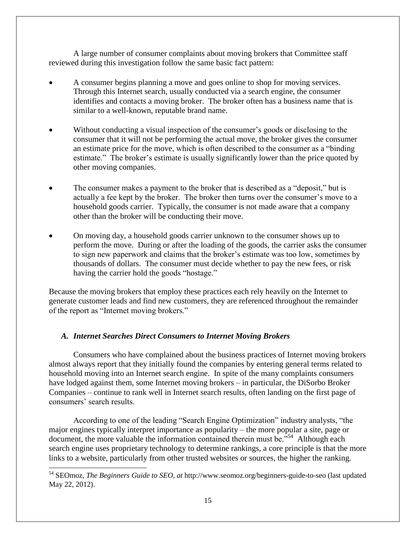A large number of consumer complaints about moving brokers that Committee staff reviewed during this investigation follow the same basic fact pattern:

- A consumer begins planning a move and goes online to shop for moving services. Through this Internet search, usually conducted via a search engine, the consumer identifies and contacts a moving broker. The broker often has a business name that is similar to a well-known, reputable brand name.
- Without conducting a visual inspection of the consumer's goods or disclosing to the consumer that it will not be performing the actual move, the broker gives the consumer an estimate price for the move, which is often described to the consumer as a "binding estimate." The broker's estimate is usually significantly lower than the price quoted by other moving companies.
- The consumer makes a payment to the broker that is described as a "deposit," but is actually a fee kept by the broker. The broker then turns over the consumer's move to a household goods carrier. Typically, the consumer is not made aware that a company other than the broker will be conducting their move.
- On moving day, a household goods carrier unknown to the consumer shows up to perform the move. During or after the loading of the goods, the carrier asks the consumer to sign new paperwork and claims that the broker's estimate was too low, sometimes by thousands of dollars. The consumer must decide whether to pay the new fees, or risk having the carrier hold the goods "hostage."

Because the moving brokers that employ these practices each rely heavily on the Internet to generate customer leads and find new customers, they are referenced throughout the remainder of the report as "Internet moving brokers."

#### *A. Internet Searches Direct Consumers to Internet Moving Brokers*

l

Consumers who have complained about the business practices of Internet moving brokers almost always report that they initially found the companies by entering general terms related to household moving into an Internet search engine. In spite of the many complaints consumers have lodged against them, some Internet moving brokers – in particular, the DiSorbo Broker Companies – continue to rank well in Internet search results, often landing on the first page of consumers' search results.

According to one of the leading "Search Engine Optimization" industry analysts, "the major engines typically interpret importance as popularity – the more popular a site, page or document, the more valuable the information contained therein must be."<sup>54</sup> Although each search engine uses proprietary technology to determine rankings, a core principle is that the more links to a website, particularly from other trusted websites or sources, the higher the ranking.

<sup>54</sup> SEOmoz, *The Beginners Guide to SEO*, *at* <http://www.seomoz.org/beginners-guide-to-seo> (last updated May 22, 2012).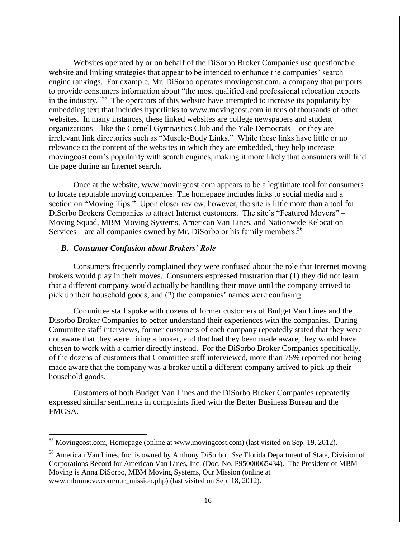Websites operated by or on behalf of the DiSorbo Broker Companies use questionable website and linking strategies that appear to be intended to enhance the companies' search engine rankings. For example, Mr. DiSorbo operates movingcost.com, a company that purports to provide consumers information about "the most qualified and professional relocation experts in the industry."<sup>55</sup> The operators of this website have attempted to increase its popularity by embedding text that includes hyperlinks to www.movingcost.com in tens of thousands of other websites. In many instances, these linked websites are college newspapers and student organizations – like the Cornell Gymnastics Club and the Yale Democrats – or they are irrelevant link directories such as "Muscle-Body Links." While these links have little or no relevance to the content of the websites in which they are embedded, they help increase movingcost.com's popularity with search engines, making it more likely that consumers will find the page during an Internet search.

Once at the website, www.movingcost.com appears to be a legitimate tool for consumers to locate reputable moving companies. The homepage includes links to social media and a section on "Moving Tips." Upon closer review, however, the site is little more than a tool for DiSorbo Brokers Companies to attract Internet customers. The site's "Featured Movers" – Moving Squad, MBM Moving Systems, American Van Lines, and Nationwide Relocation Services – are all companies owned by Mr. DiSorbo or his family members.<sup>56</sup>

#### *B. Consumer Confusion about Brokers' Role*

 $\overline{a}$ 

Consumers frequently complained they were confused about the role that Internet moving brokers would play in their moves. Consumers expressed frustration that (1) they did not learn that a different company would actually be handling their move until the company arrived to pick up their household goods, and (2) the companies' names were confusing.

Committee staff spoke with dozens of former customers of Budget Van Lines and the Disorbo Broker Companies to better understand their experiences with the companies. During Committee staff interviews, former customers of each company repeatedly stated that they were not aware that they were hiring a broker, and that had they been made aware, they would have chosen to work with a carrier directly instead. For the DiSorbo Broker Companies specifically, of the dozens of customers that Committee staff interviewed, more than 75% reported not being made aware that the company was a broker until a different company arrived to pick up their household goods.

Customers of both Budget Van Lines and the DiSorbo Broker Companies repeatedly expressed similar sentiments in complaints filed with the Better Business Bureau and the FMCSA.

<sup>&</sup>lt;sup>55</sup> Movingcost.com, Homepage (online at www.movingcost.com) (last visited on Sep. 19, 2012).

<sup>56</sup> American Van Lines, Inc. is owned by Anthony DiSorbo. *See* Florida Department of State, Division of Corporations Record for American Van Lines, Inc. (Doc. No. P95000065434). The President of MBM Moving is Anna DiSorbo, MBM Moving Systems, Our Mission (online at www.mbmmove.com/our\_mission.php) (last visited on Sep. 18, 2012).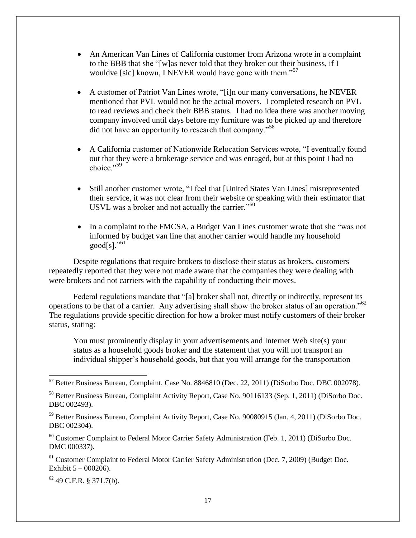- An American Van Lines of California customer from Arizona wrote in a complaint to the BBB that she "[w]as never told that they broker out their business, if I wouldve [sic] known, I NEVER would have gone with them."<sup>57</sup>
- A customer of Patriot Van Lines wrote, "[i]n our many conversations, he NEVER mentioned that PVL would not be the actual movers. I completed research on PVL to read reviews and check their BBB status. I had no idea there was another moving company involved until days before my furniture was to be picked up and therefore did not have an opportunity to research that company."<sup>58</sup>
- A California customer of Nationwide Relocation Services wrote, "I eventually found out that they were a brokerage service and was enraged, but at this point I had no choice."<sup>59</sup>
- Still another customer wrote, "I feel that [United States Van Lines] misrepresented their service, it was not clear from their website or speaking with their estimator that USVL was a broker and not actually the carrier."<sup>60</sup>
- In a complaint to the FMCSA, a Budget Van Lines customer wrote that she "was not informed by budget van line that another carrier would handle my household  $good[s]$ ."<sup>61</sup>

Despite regulations that require brokers to disclose their status as brokers, customers repeatedly reported that they were not made aware that the companies they were dealing with were brokers and not carriers with the capability of conducting their moves.

Federal regulations mandate that "[a] broker shall not, directly or indirectly, represent its operations to be that of a carrier. Any advertising shall show the broker status of an operation."<sup>62</sup> The regulations provide specific direction for how a broker must notify customers of their broker status, stating:

You must prominently display in your advertisements and Internet Web site(s) your status as a household goods broker and the statement that you will not transport an individual shipper's household goods, but that you will arrange for the transportation

<sup>60</sup> Customer Complaint to Federal Motor Carrier Safety Administration (Feb. 1, 2011) (DiSorbo Doc. DMC 000337).

<sup>61</sup> Customer Complaint to Federal Motor Carrier Safety Administration (Dec. 7, 2009) (Budget Doc. Exhibit 5 – 000206).

<sup>62</sup> 49 C.F.R. § 371.7(b).

 $\overline{\phantom{0}}$ 

<sup>57</sup> Better Business Bureau, Complaint, Case No. 8846810 (Dec. 22, 2011) (DiSorbo Doc. DBC 002078).

<sup>58</sup> Better Business Bureau, Complaint Activity Report, Case No. 90116133 (Sep. 1, 2011) (DiSorbo Doc. DBC 002493).

<sup>&</sup>lt;sup>59</sup> Better Business Bureau, Complaint Activity Report, Case No. 90080915 (Jan. 4, 2011) (DiSorbo Doc. DBC 002304).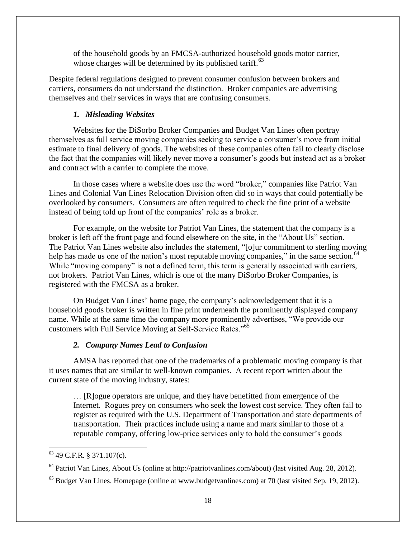of the household goods by an FMCSA-authorized household goods motor carrier, whose charges will be determined by its published tariff. $^{63}$ 

Despite federal regulations designed to prevent consumer confusion between brokers and carriers, consumers do not understand the distinction. Broker companies are advertising themselves and their services in ways that are confusing consumers.

#### *1. Misleading Websites*

Websites for the DiSorbo Broker Companies and Budget Van Lines often portray themselves as full service moving companies seeking to service a consumer's move from initial estimate to final delivery of goods. The websites of these companies often fail to clearly disclose the fact that the companies will likely never move a consumer's goods but instead act as a broker and contract with a carrier to complete the move.

In those cases where a website does use the word "broker," companies like Patriot Van Lines and Colonial Van Lines Relocation Division often did so in ways that could potentially be overlooked by consumers. Consumers are often required to check the fine print of a website instead of being told up front of the companies' role as a broker.

For example, on the website for Patriot Van Lines, the statement that the company is a broker is left off the front page and found elsewhere on the site, in the "About Us" section. The Patriot Van Lines website also includes the statement, "[o]ur commitment to sterling moving help has made us one of the nation's most reputable moving companies," in the same section.<sup>64</sup> While "moving company" is not a defined term, this term is generally associated with carriers, not brokers. Patriot Van Lines, which is one of the many DiSorbo Broker Companies, is registered with the FMCSA as a broker.

On Budget Van Lines' home page, the company's acknowledgement that it is a household goods broker is written in fine print underneath the prominently displayed company name. While at the same time the company more prominently advertises, "We provide our customers with Full Service Moving at Self-Service Rates."<sup>65</sup>

#### *2. Company Names Lead to Confusion*

AMSA has reported that one of the trademarks of a problematic moving company is that it uses names that are similar to well-known companies. A recent report written about the current state of the moving industry, states:

… [R]ogue operators are unique, and they have benefitted from emergence of the Internet. Rogues prey on consumers who seek the lowest cost service. They often fail to register as required with the U.S. Department of Transportation and state departments of transportation. Their practices include using a name and mark similar to those of a reputable company, offering low-price services only to hold the consumer's goods

<sup>63</sup> 49 C.F.R. § 371.107(c).

<sup>&</sup>lt;sup>64</sup> Patriot Van Lines, About Us (online at http://patriotvanlines.com/about) (last visited Aug. 28, 2012).

<sup>&</sup>lt;sup>65</sup> Budget Van Lines, Homepage (online at [www.budgetvanlines.com\)](http://www.budgetvanlines.com/) at 70 (last visited Sep. 19, 2012).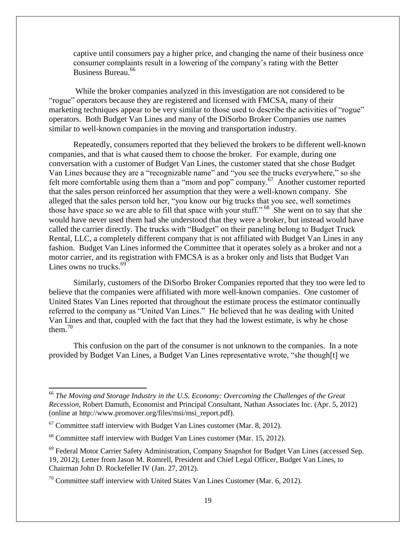captive until consumers pay a higher price, and changing the name of their business once consumer complaints result in a lowering of the company's rating with the Better Business Bureau.<sup>66</sup>

While the broker companies analyzed in this investigation are not considered to be "rogue" operators because they are registered and licensed with FMCSA, many of their marketing techniques appear to be very similar to those used to describe the activities of "rogue" operators. Both Budget Van Lines and many of the DiSorbo Broker Companies use names similar to well-known companies in the moving and transportation industry.

Repeatedly, consumers reported that they believed the brokers to be different well-known companies, and that is what caused them to choose the broker. For example, during one conversation with a customer of Budget Van Lines, the customer stated that she chose Budget Van Lines because they are a "recognizable name" and "you see the trucks everywhere," so she felt more comfortable using them than a "mom and pop" company.<sup>67</sup> Another customer reported that the sales person reinforced her assumption that they were a well-known company. She alleged that the sales person told her, "you know our big trucks that you see, well sometimes those have space so we are able to fill that space with your stuff."<sup>68</sup> She went on to say that she would have never used them had she understood that they were a broker, but instead would have called the carrier directly. The trucks with "Budget" on their paneling belong to Budget Truck Rental, LLC, a completely different company that is not affiliated with Budget Van Lines in any fashion. Budget Van Lines informed the Committee that it operates solely as a broker and not a motor carrier, and its registration with FMCSA is as a broker only and lists that Budget Van Lines owns no trucks.<sup>69</sup>

Similarly, customers of the DiSorbo Broker Companies reported that they too were led to believe that the companies were affiliated with more well-known companies. One customer of United States Van Lines reported that throughout the estimate process the estimator continually referred to the company as "United Van Lines." He believed that he was dealing with United Van Lines and that, coupled with the fact that they had the lowest estimate, is why he chose them $^{70}$ 

This confusion on the part of the consumer is not unknown to the companies. In a note provided by Budget Van Lines, a Budget Van Lines representative wrote, "she though[t] we

 $\overline{\phantom{0}}$ 

<sup>66</sup> *The Moving and Storage Industry in the U.S. Economy: Overcoming the Challenges of the Great Recession*, Robert Damuth, Economist and Principal Consultant, Nathan Associates Inc. (Apr. 5, 2012) (online at http://www.promover.org/files/msi/msi\_report.pdf).

 $^{67}$  Committee staff interview with Budget Van Lines customer (Mar. 8, 2012).

<sup>&</sup>lt;sup>68</sup> Committee staff interview with Budget Van Lines customer (Mar. 15, 2012).

<sup>&</sup>lt;sup>69</sup> Federal Motor Carrier Safety Administration, Company Snapshot for Budget Van Lines (accessed Sep. 19, 2012); Letter from Jason M. Romrell, President and Chief Legal Officer, Budget Van Lines, to Chairman John D. Rockefeller IV (Jan. 27, 2012).

 $70$  Committee staff interview with United States Van Lines Customer (Mar. 6, 2012).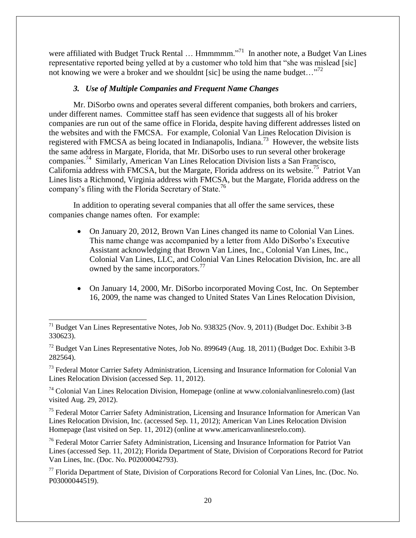were affiliated with Budget Truck Rental ... Hmmmmm."<sup>71</sup> In another note, a Budget Van Lines representative reported being yelled at by a customer who told him that "she was mislead [sic] not knowing we were a broker and we shouldnt [sic] be using the name budget..."<sup>72</sup>

#### *3. Use of Multiple Companies and Frequent Name Changes*

Mr. DiSorbo owns and operates several different companies, both brokers and carriers, under different names. Committee staff has seen evidence that suggests all of his broker companies are run out of the same office in Florida, despite having different addresses listed on the websites and with the FMCSA. For example, Colonial Van Lines Relocation Division is registered with FMCSA as being located in Indianapolis, Indiana.<sup>73</sup> However, the website lists the same address in Margate, Florida, that Mr. DiSorbo uses to run several other brokerage companies.<sup>74</sup> Similarly, American Van Lines Relocation Division lists a San Francisco, California address with FMCSA, but the Margate, Florida address on its website.<sup>75</sup> Patriot Van Lines lists a Richmond, Virginia address with FMCSA, but the Margate, Florida address on the company's filing with the Florida Secretary of State.<sup>76</sup>

In addition to operating several companies that all offer the same services, these companies change names often. For example:

- On January 20, 2012, Brown Van Lines changed its name to Colonial Van Lines. This name change was accompanied by a letter from Aldo DiSorbo's Executive Assistant acknowledging that Brown Van Lines, Inc., Colonial Van Lines, Inc., Colonial Van Lines, LLC, and Colonial Van Lines Relocation Division, Inc. are all owned by the same incorporators.<sup>77</sup>
- On January 14, 2000, Mr. DiSorbo incorporated Moving Cost, Inc. On September 16, 2009, the name was changed to United States Van Lines Relocation Division,

<sup>73</sup> Federal Motor Carrier Safety Administration, Licensing and Insurance Information for Colonial Van Lines Relocation Division (accessed Sep. 11, 2012).

<sup>74</sup> Colonial Van Lines Relocation Division, Homepage (online at www.colonialvanlinesrelo.com) (last visited Aug. 29, 2012).

<sup>75</sup> Federal Motor Carrier Safety Administration, Licensing and Insurance Information for American Van Lines Relocation Division, Inc. (accessed Sep. 11, 2012); American Van Lines Relocation Division Homepage (last visited on Sep. 11, 2012) (online at www.americanvanlinesrelo.com).

<sup>76</sup> Federal Motor Carrier Safety Administration, Licensing and Insurance Information for Patriot Van Lines (accessed Sep. 11, 2012); Florida Department of State, Division of Corporations Record for Patriot Van Lines, Inc. (Doc. No. P02000042793).

<sup>77</sup> Florida Department of State, Division of Corporations Record for Colonial Van Lines, Inc. (Doc. No. P03000044519).

 $\overline{a}$  $71$  Budget Van Lines Representative Notes, Job No. 938325 (Nov. 9, 2011) (Budget Doc. Exhibit 3-B 330623).

<sup>72</sup> Budget Van Lines Representative Notes, Job No. 899649 (Aug. 18, 2011) (Budget Doc. Exhibit 3-B 282564).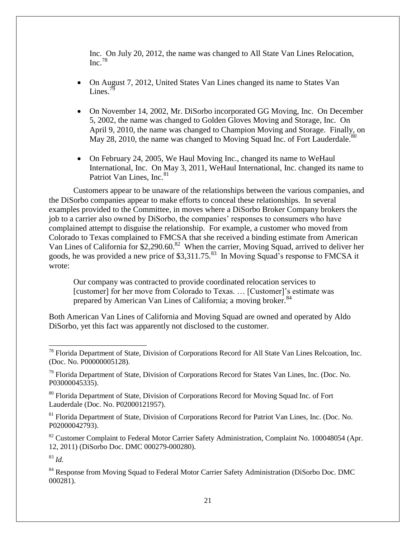Inc. On July 20, 2012, the name was changed to All State Van Lines Relocation,  $Inc.<sup>78</sup>$ 

- On August 7, 2012, United States Van Lines changed its name to States Van Lines. $^{79}$
- On November 14, 2002, Mr. DiSorbo incorporated GG Moving, Inc. On December 5, 2002, the name was changed to Golden Gloves Moving and Storage, Inc. On April 9, 2010, the name was changed to Champion Moving and Storage. Finally, on May 28, 2010, the name was changed to Moving Squad Inc. of Fort Lauderdale.<sup>80</sup>
- On February 24, 2005, We Haul Moving Inc., changed its name to WeHaul International, Inc. On May 3, 2011, WeHaul International, Inc. changed its name to Patriot Van Lines,  $Inc.<sup>81</sup>$

Customers appear to be unaware of the relationships between the various companies, and the DiSorbo companies appear to make efforts to conceal these relationships. In several examples provided to the Committee, in moves where a DiSorbo Broker Company brokers the job to a carrier also owned by DiSorbo, the companies' responses to consumers who have complained attempt to disguise the relationship. For example, a customer who moved from Colorado to Texas complained to FMCSA that she received a binding estimate from American Van Lines of California for \$2,290.60.<sup>82</sup> When the carrier, Moving Squad, arrived to deliver her goods, he was provided a new price of \$3,311.75.<sup>83</sup> In Moving Squad's response to FMCSA it wrote:

Our company was contracted to provide coordinated relocation services to [customer] for her move from Colorado to Texas. ... [Customer]'s estimate was prepared by American Van Lines of California; a moving broker.<sup>84</sup>

Both American Van Lines of California and Moving Squad are owned and operated by Aldo DiSorbo, yet this fact was apparently not disclosed to the customer.

<sup>80</sup> Florida Department of State, Division of Corporations Record for Moving Squad Inc. of Fort Lauderdale (Doc. No. P02000121957).

<sup>81</sup> Florida Department of State, Division of Corporations Record for Patriot Van Lines, Inc. (Doc. No. P02000042793).

<sup>82</sup> Customer Complaint to Federal Motor Carrier Safety Administration, Complaint No. 100048054 (Apr. 12, 2011) (DiSorbo Doc. DMC 000279-000280).

<sup>83</sup> *Id.*

 $\overline{\phantom{0}}$ 

<sup>84</sup> Response from Moving Squad to Federal Motor Carrier Safety Administration (DiSorbo Doc. DMC 000281).

<sup>&</sup>lt;sup>78</sup> Florida Department of State, Division of Corporations Record for All State Van Lines Relcoation, Inc. (Doc. No. P00000005128).

 $79$  Florida Department of State, Division of Corporations Record for States Van Lines, Inc. (Doc. No. P03000045335).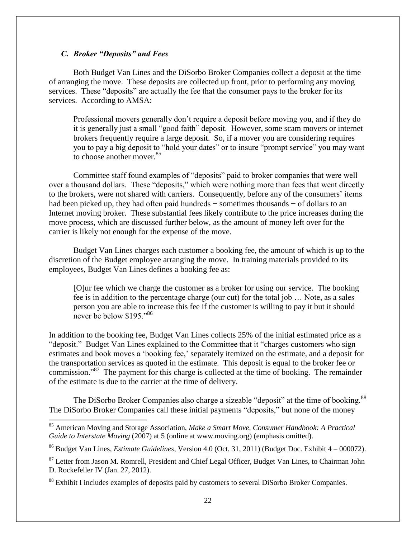#### *C. Broker "Deposits" and Fees*

 $\overline{\phantom{0}}$ 

Both Budget Van Lines and the DiSorbo Broker Companies collect a deposit at the time of arranging the move. These deposits are collected up front, prior to performing any moving services. These "deposits" are actually the fee that the consumer pays to the broker for its services. According to AMSA:

Professional movers generally don't require a deposit before moving you, and if they do it is generally just a small "good faith" deposit. However, some scam movers or internet brokers frequently require a large deposit. So, if a mover you are considering requires you to pay a big deposit to "hold your dates" or to insure "prompt service" you may want to choose another mover.<sup>85</sup>

Committee staff found examples of "deposits" paid to broker companies that were well over a thousand dollars. These "deposits," which were nothing more than fees that went directly to the brokers, were not shared with carriers. Consequently, before any of the consumers' items had been picked up, they had often paid hundreds − sometimes thousands − of dollars to an Internet moving broker. These substantial fees likely contribute to the price increases during the move process, which are discussed further below, as the amount of money left over for the carrier is likely not enough for the expense of the move.

Budget Van Lines charges each customer a booking fee, the amount of which is up to the discretion of the Budget employee arranging the move. In training materials provided to its employees, Budget Van Lines defines a booking fee as:

[O]ur fee which we charge the customer as a broker for using our service. The booking fee is in addition to the percentage charge (our cut) for the total job … Note, as a sales person you are able to increase this fee if the customer is willing to pay it but it should never be below \$195."<sup>86</sup>

In addition to the booking fee, Budget Van Lines collects 25% of the initial estimated price as a "deposit." Budget Van Lines explained to the Committee that it "charges customers who sign estimates and book moves a 'booking fee,' separately itemized on the estimate, and a deposit for the transportation services as quoted in the estimate. This deposit is equal to the broker fee or commission."<sup>87</sup> The payment for this charge is collected at the time of booking. The remainder of the estimate is due to the carrier at the time of delivery.

The DiSorbo Broker Companies also charge a sizeable "deposit" at the time of booking.<sup>88</sup> The DiSorbo Broker Companies call these initial payments "deposits," but none of the money

<sup>85</sup> American Moving and Storage Association, *Make a Smart Move, Consumer Handbook: A Practical Guide to Interstate Moving* (2007) at 5 (online at www.moving.org) (emphasis omitted).

<sup>86</sup> Budget Van Lines, *Estimate Guidelines*, Version 4.0 (Oct. 31, 2011) (Budget Doc. Exhibit 4 – 000072).

<sup>&</sup>lt;sup>87</sup> Letter from Jason M. Romrell, President and Chief Legal Officer, Budget Van Lines, to Chairman John D. Rockefeller IV (Jan. 27, 2012).

<sup>&</sup>lt;sup>88</sup> Exhibit I includes examples of deposits paid by customers to several DiSorbo Broker Companies.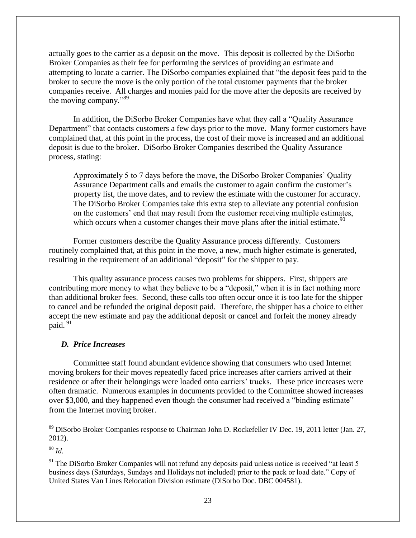actually goes to the carrier as a deposit on the move. This deposit is collected by the DiSorbo Broker Companies as their fee for performing the services of providing an estimate and attempting to locate a carrier. The DiSorbo companies explained that "the deposit fees paid to the broker to secure the move is the only portion of the total customer payments that the broker companies receive. All charges and monies paid for the move after the deposits are received by the moving company."<sup>89</sup>

In addition, the DiSorbo Broker Companies have what they call a "Quality Assurance Department" that contacts customers a few days prior to the move. Many former customers have complained that, at this point in the process, the cost of their move is increased and an additional deposit is due to the broker. DiSorbo Broker Companies described the Quality Assurance process, stating:

Approximately 5 to 7 days before the move, the DiSorbo Broker Companies' Quality Assurance Department calls and emails the customer to again confirm the customer's property list, the move dates, and to review the estimate with the customer for accuracy. The DiSorbo Broker Companies take this extra step to alleviate any potential confusion on the customers' end that may result from the customer receiving multiple estimates, which occurs when a customer changes their move plans after the initial estimate. $90$ 

Former customers describe the Quality Assurance process differently. Customers routinely complained that, at this point in the move, a new, much higher estimate is generated, resulting in the requirement of an additional "deposit" for the shipper to pay.

This quality assurance process causes two problems for shippers. First, shippers are contributing more money to what they believe to be a "deposit," when it is in fact nothing more than additional broker fees. Second, these calls too often occur once it is too late for the shipper to cancel and be refunded the original deposit paid. Therefore, the shipper has a choice to either accept the new estimate and pay the additional deposit or cancel and forfeit the money already paid. <sup>91</sup>

#### *D. Price Increases*

Committee staff found abundant evidence showing that consumers who used Internet moving brokers for their moves repeatedly faced price increases after carriers arrived at their residence or after their belongings were loaded onto carriers' trucks. These price increases were often dramatic. Numerous examples in documents provided to the Committee showed increases over \$3,000, and they happened even though the consumer had received a "binding estimate" from the Internet moving broker.

<sup>90</sup> *Id.*

 $\overline{\phantom{0}}$ 

<sup>&</sup>lt;sup>89</sup> DiSorbo Broker Companies response to Chairman John D. Rockefeller IV Dec. 19, 2011 letter (Jan. 27, 2012).

 $91$ <sup>91</sup> The DiSorbo Broker Companies will not refund any deposits paid unless notice is received "at least 5" business days (Saturdays, Sundays and Holidays not included) prior to the pack or load date." Copy of United States Van Lines Relocation Division estimate (DiSorbo Doc. DBC 004581).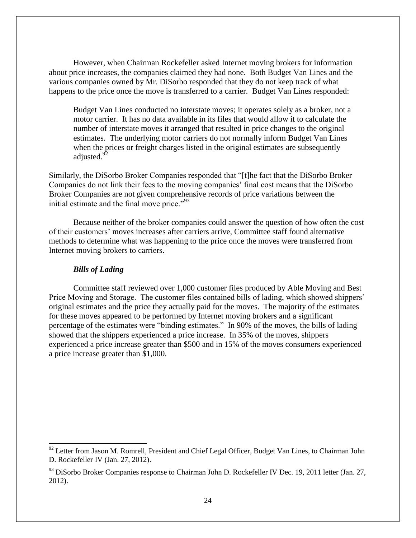However, when Chairman Rockefeller asked Internet moving brokers for information about price increases, the companies claimed they had none. Both Budget Van Lines and the various companies owned by Mr. DiSorbo responded that they do not keep track of what happens to the price once the move is transferred to a carrier. Budget Van Lines responded:

Budget Van Lines conducted no interstate moves; it operates solely as a broker, not a motor carrier. It has no data available in its files that would allow it to calculate the number of interstate moves it arranged that resulted in price changes to the original estimates. The underlying motor carriers do not normally inform Budget Van Lines when the prices or freight charges listed in the original estimates are subsequently adjusted.<sup>92</sup>

Similarly, the DiSorbo Broker Companies responded that "[t]he fact that the DiSorbo Broker Companies do not link their fees to the moving companies' final cost means that the DiSorbo Broker Companies are not given comprehensive records of price variations between the initial estimate and the final move price. $1.93$ 

Because neither of the broker companies could answer the question of how often the cost of their customers' moves increases after carriers arrive, Committee staff found alternative methods to determine what was happening to the price once the moves were transferred from Internet moving brokers to carriers.

#### *Bills of Lading*

l

Committee staff reviewed over 1,000 customer files produced by Able Moving and Best Price Moving and Storage. The customer files contained bills of lading, which showed shippers' original estimates and the price they actually paid for the moves. The majority of the estimates for these moves appeared to be performed by Internet moving brokers and a significant percentage of the estimates were "binding estimates." In 90% of the moves, the bills of lading showed that the shippers experienced a price increase. In 35% of the moves, shippers experienced a price increase greater than \$500 and in 15% of the moves consumers experienced a price increase greater than \$1,000.

<sup>&</sup>lt;sup>92</sup> Letter from Jason M. Romrell, President and Chief Legal Officer, Budget Van Lines, to Chairman John D. Rockefeller IV (Jan. 27, 2012).

 $93$  DiSorbo Broker Companies response to Chairman John D. Rockefeller IV Dec. 19, 2011 letter (Jan. 27, 2012).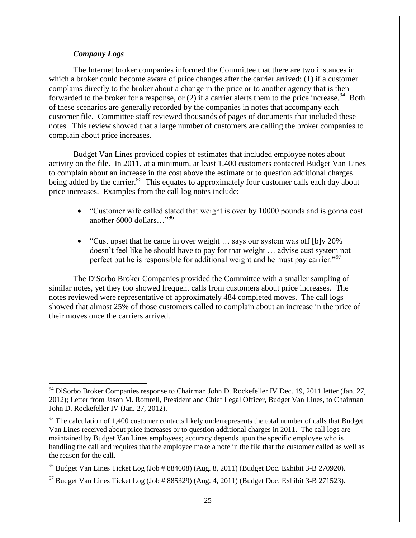#### *Company Logs*

 $\overline{\phantom{0}}$ 

The Internet broker companies informed the Committee that there are two instances in which a broker could become aware of price changes after the carrier arrived: (1) if a customer complains directly to the broker about a change in the price or to another agency that is then forwarded to the broker for a response, or  $(2)$  if a carrier alerts them to the price increase.<sup>94</sup> Both of these scenarios are generally recorded by the companies in notes that accompany each customer file. Committee staff reviewed thousands of pages of documents that included these notes. This review showed that a large number of customers are calling the broker companies to complain about price increases.

Budget Van Lines provided copies of estimates that included employee notes about activity on the file. In 2011, at a minimum, at least 1,400 customers contacted Budget Van Lines to complain about an increase in the cost above the estimate or to question additional charges being added by the carrier.<sup>95</sup> This equates to approximately four customer calls each day about price increases. Examples from the call log notes include:

- "Customer wife called stated that weight is over by 10000 pounds and is gonna cost another 6000 dollars…"<sup>96</sup>
- "Cust upset that he came in over weight  $\ldots$  says our system was off [b]y 20% doesn't feel like he should have to pay for that weight … advise cust system not perfect but he is responsible for additional weight and he must pay carrier."<sup>97</sup>

The DiSorbo Broker Companies provided the Committee with a smaller sampling of similar notes, yet they too showed frequent calls from customers about price increases. The notes reviewed were representative of approximately 484 completed moves. The call logs showed that almost 25% of those customers called to complain about an increase in the price of their moves once the carriers arrived.

<sup>&</sup>lt;sup>94</sup> DiSorbo Broker Companies response to Chairman John D. Rockefeller IV Dec. 19, 2011 letter (Jan. 27, 2012); Letter from Jason M. Romrell, President and Chief Legal Officer, Budget Van Lines, to Chairman John D. Rockefeller IV (Jan. 27, 2012).

 $95$  The calculation of 1,400 customer contacts likely underrepresents the total number of calls that Budget Van Lines received about price increases or to question additional charges in 2011. The call logs are maintained by Budget Van Lines employees; accuracy depends upon the specific employee who is handling the call and requires that the employee make a note in the file that the customer called as well as the reason for the call.

<sup>&</sup>lt;sup>96</sup> Budget Van Lines Ticket Log (Job # 884608) (Aug. 8, 2011) (Budget Doc. Exhibit 3-B 270920).

 $97$  Budget Van Lines Ticket Log (Job # 885329) (Aug. 4, 2011) (Budget Doc. Exhibit 3-B 271523).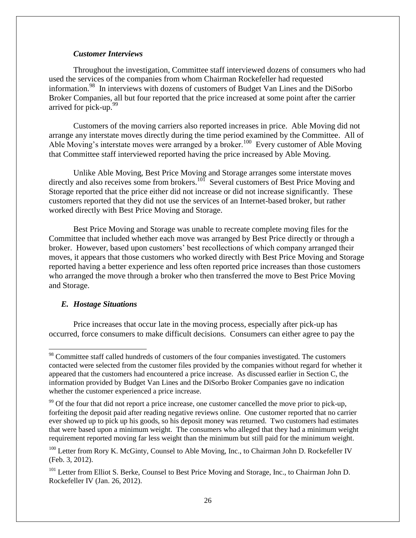#### *Customer Interviews*

Throughout the investigation, Committee staff interviewed dozens of consumers who had used the services of the companies from whom Chairman Rockefeller had requested information. 98 In interviews with dozens of customers of Budget Van Lines and the DiSorbo Broker Companies, all but four reported that the price increased at some point after the carrier arrived for pick-up.<sup>99</sup>

Customers of the moving carriers also reported increases in price. Able Moving did not arrange any interstate moves directly during the time period examined by the Committee. All of Able Moving's interstate moves were arranged by a broker.<sup>100</sup> Every customer of Able Moving that Committee staff interviewed reported having the price increased by Able Moving.

Unlike Able Moving, Best Price Moving and Storage arranges some interstate moves directly and also receives some from brokers.<sup>101</sup> Several customers of Best Price Moving and Storage reported that the price either did not increase or did not increase significantly. These customers reported that they did not use the services of an Internet-based broker, but rather worked directly with Best Price Moving and Storage.

Best Price Moving and Storage was unable to recreate complete moving files for the Committee that included whether each move was arranged by Best Price directly or through a broker. However, based upon customers' best recollections of which company arranged their moves, it appears that those customers who worked directly with Best Price Moving and Storage reported having a better experience and less often reported price increases than those customers who arranged the move through a broker who then transferred the move to Best Price Moving and Storage.

#### *E. Hostage Situations*

l

Price increases that occur late in the moving process, especially after pick-up has occurred, force consumers to make difficult decisions. Consumers can either agree to pay the

<sup>&</sup>lt;sup>98</sup> Committee staff called hundreds of customers of the four companies investigated. The customers contacted were selected from the customer files provided by the companies without regard for whether it appeared that the customers had encountered a price increase. As discussed earlier in Section C, the information provided by Budget Van Lines and the DiSorbo Broker Companies gave no indication whether the customer experienced a price increase.

<sup>&</sup>lt;sup>99</sup> Of the four that did not report a price increase, one customer cancelled the move prior to pick-up, forfeiting the deposit paid after reading negative reviews online. One customer reported that no carrier ever showed up to pick up his goods, so his deposit money was returned. Two customers had estimates that were based upon a minimum weight. The consumers who alleged that they had a minimum weight requirement reported moving far less weight than the minimum but still paid for the minimum weight.

<sup>&</sup>lt;sup>100</sup> Letter from Rory K. McGinty, Counsel to Able Moving, Inc., to Chairman John D. Rockefeller IV (Feb. 3, 2012).

<sup>&</sup>lt;sup>101</sup> Letter from Elliot S. Berke, Counsel to Best Price Moving and Storage, Inc., to Chairman John D. Rockefeller IV (Jan. 26, 2012).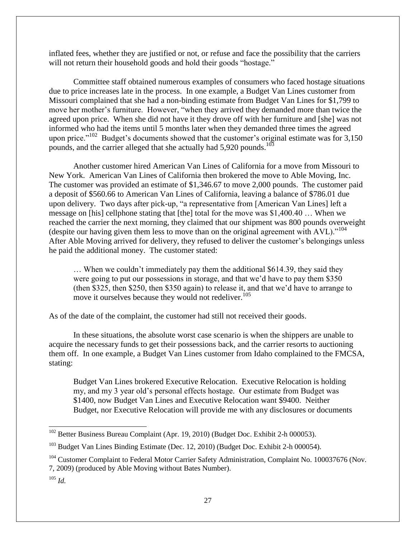inflated fees, whether they are justified or not, or refuse and face the possibility that the carriers will not return their household goods and hold their goods "hostage."

Committee staff obtained numerous examples of consumers who faced hostage situations due to price increases late in the process. In one example, a Budget Van Lines customer from Missouri complained that she had a non-binding estimate from Budget Van Lines for \$1,799 to move her mother's furniture. However, "when they arrived they demanded more than twice the agreed upon price. When she did not have it they drove off with her furniture and [she] was not informed who had the items until 5 months later when they demanded three times the agreed upon price."<sup>102</sup> Budget's documents showed that the customer's original estimate was for  $3,150$ pounds, and the carrier alleged that she actually had 5,920 pounds.<sup>103</sup>

Another customer hired American Van Lines of California for a move from Missouri to New York. American Van Lines of California then brokered the move to Able Moving, Inc. The customer was provided an estimate of \$1,346.67 to move 2,000 pounds. The customer paid a deposit of \$560.66 to American Van Lines of California, leaving a balance of \$786.01 due upon delivery. Two days after pick-up, "a representative from [American Van Lines] left a message on [his] cellphone stating that [the] total for the move was \$1,400.40 … When we reached the carrier the next morning, they claimed that our shipment was 800 pounds overweight (despite our having given them less to move than on the original agreement with  $AVL$ )."<sup>104</sup> After Able Moving arrived for delivery, they refused to deliver the customer's belongings unless he paid the additional money. The customer stated:

… When we couldn't immediately pay them the additional \$614.39, they said they were going to put our possessions in storage, and that we'd have to pay them \$350 (then \$325, then \$250, then \$350 again) to release it, and that we'd have to arrange to move it ourselves because they would not redeliver.<sup>105</sup>

As of the date of the complaint, the customer had still not received their goods.

In these situations, the absolute worst case scenario is when the shippers are unable to acquire the necessary funds to get their possessions back, and the carrier resorts to auctioning them off. In one example, a Budget Van Lines customer from Idaho complained to the FMCSA, stating:

Budget Van Lines brokered Executive Relocation. Executive Relocation is holding my, and my 3 year old's personal effects hostage. Our estimate from Budget was \$1400, now Budget Van Lines and Executive Relocation want \$9400. Neither Budget, nor Executive Relocation will provide me with any disclosures or documents

 $\overline{a}$ 

<sup>&</sup>lt;sup>102</sup> Better Business Bureau Complaint (Apr. 19, 2010) (Budget Doc. Exhibit 2-h 000053).

<sup>&</sup>lt;sup>103</sup> Budget Van Lines Binding Estimate (Dec. 12, 2010) (Budget Doc. Exhibit 2-h 000054).

<sup>&</sup>lt;sup>104</sup> Customer Complaint to Federal Motor Carrier Safety Administration, Complaint No. 100037676 (Nov. 7, 2009) (produced by Able Moving without Bates Number).

<sup>105</sup> *Id.*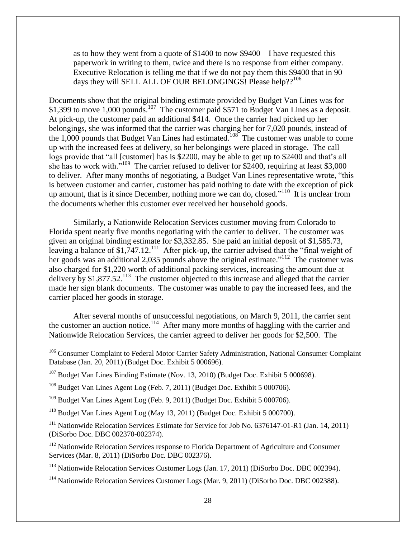as to how they went from a quote of \$1400 to now \$9400 – I have requested this paperwork in writing to them, twice and there is no response from either company. Executive Relocation is telling me that if we do not pay them this \$9400 that in 90 days they will SELL ALL OF OUR BELONGINGS! Please help??<sup>106</sup>

Documents show that the original binding estimate provided by Budget Van Lines was for \$1,399 to move 1,000 pounds.<sup>107</sup> The customer paid \$571 to Budget Van Lines as a deposit. At pick-up, the customer paid an additional \$414. Once the carrier had picked up her belongings, she was informed that the carrier was charging her for 7,020 pounds, instead of the 1,000 pounds that Budget Van Lines had estimated.<sup>108</sup> The customer was unable to come up with the increased fees at delivery, so her belongings were placed in storage. The call logs provide that "all [customer] has is \$2200, may be able to get up to \$2400 and that's all she has to work with."<sup>109</sup> The carrier refused to deliver for \$2400, requiring at least \$3,000 to deliver. After many months of negotiating, a Budget Van Lines representative wrote, "this is between customer and carrier, customer has paid nothing to date with the exception of pick up amount, that is it since December, nothing more we can do, closed."<sup>110</sup> It is unclear from the documents whether this customer ever received her household goods.

Similarly, a Nationwide Relocation Services customer moving from Colorado to Florida spent nearly five months negotiating with the carrier to deliver. The customer was given an original binding estimate for \$3,332.85. She paid an initial deposit of \$1,585.73, leaving a balance of \$1,747.12.<sup>111</sup> After pick-up, the carrier advised that the "final weight of her goods was an additional 2,035 pounds above the original estimate."<sup>112</sup> The customer was also charged for \$1,220 worth of additional packing services, increasing the amount due at delivery by \$1,877.52.<sup>113</sup> The customer objected to this increase and alleged that the carrier made her sign blank documents. The customer was unable to pay the increased fees, and the carrier placed her goods in storage.

After several months of unsuccessful negotiations, on March 9, 2011, the carrier sent the customer an auction notice.<sup>114</sup> After many more months of haggling with the carrier and Nationwide Relocation Services, the carrier agreed to deliver her goods for \$2,500. The

 $\overline{a}$ 

<sup>110</sup> Budget Van Lines Agent Log (May 13, 2011) (Budget Doc. Exhibit 5 000700).

<sup>111</sup> Nationwide Relocation Services Estimate for Service for Job No. 6376147-01-R1 (Jan. 14, 2011) (DiSorbo Doc. DBC 002370-002374).

<sup>112</sup> Nationwide Relocation Services response to Florida Department of Agriculture and Consumer Services (Mar. 8, 2011) (DiSorbo Doc. DBC 002376).

<sup>113</sup> Nationwide Relocation Services Customer Logs (Jan. 17, 2011) (DiSorbo Doc. DBC 002394).

<sup>114</sup> Nationwide Relocation Services Customer Logs (Mar. 9, 2011) (DiSorbo Doc. DBC 002388).

<sup>&</sup>lt;sup>106</sup> Consumer Complaint to Federal Motor Carrier Safety Administration, National Consumer Complaint Database (Jan. 20, 2011) (Budget Doc. Exhibit 5 000696).

<sup>&</sup>lt;sup>107</sup> Budget Van Lines Binding Estimate (Nov. 13, 2010) (Budget Doc. Exhibit 5 000698).

<sup>&</sup>lt;sup>108</sup> Budget Van Lines Agent Log (Feb. 7, 2011) (Budget Doc. Exhibit 5 000706).

 $109$  Budget Van Lines Agent Log (Feb. 9, 2011) (Budget Doc. Exhibit 5 000706).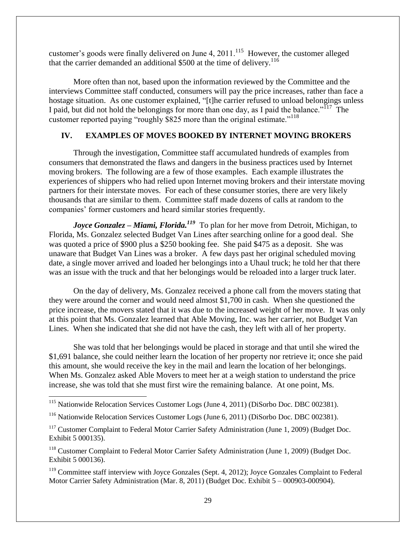customer's goods were finally delivered on June 4,  $2011$ .<sup>115</sup> However, the customer alleged that the carrier demanded an additional  $$500$  at the time of delivery.<sup>116</sup>

More often than not, based upon the information reviewed by the Committee and the interviews Committee staff conducted, consumers will pay the price increases, rather than face a hostage situation. As one customer explained, "[t]he carrier refused to unload belongings unless I paid, but did not hold the belongings for more than one day, as I paid the balance."<sup>117</sup> The customer reported paying "roughly \$825 more than the original estimate."<sup>118</sup>

#### **IV. EXAMPLES OF MOVES BOOKED BY INTERNET MOVING BROKERS**

Through the investigation, Committee staff accumulated hundreds of examples from consumers that demonstrated the flaws and dangers in the business practices used by Internet moving brokers. The following are a few of those examples. Each example illustrates the experiences of shippers who had relied upon Internet moving brokers and their interstate moving partners for their interstate moves. For each of these consumer stories, there are very likely thousands that are similar to them. Committee staff made dozens of calls at random to the companies' former customers and heard similar stories frequently.

*Joyce Gonzalez – Miami, Florida.<sup>119</sup>* To plan for her move from Detroit, Michigan, to Florida, Ms. Gonzalez selected Budget Van Lines after searching online for a good deal. She was quoted a price of \$900 plus a \$250 booking fee. She paid \$475 as a deposit. She was unaware that Budget Van Lines was a broker. A few days past her original scheduled moving date, a single mover arrived and loaded her belongings into a Uhaul truck; he told her that there was an issue with the truck and that her belongings would be reloaded into a larger truck later.

On the day of delivery, Ms. Gonzalez received a phone call from the movers stating that they were around the corner and would need almost \$1,700 in cash. When she questioned the price increase, the movers stated that it was due to the increased weight of her move. It was only at this point that Ms. Gonzalez learned that Able Moving, Inc. was her carrier, not Budget Van Lines. When she indicated that she did not have the cash, they left with all of her property.

She was told that her belongings would be placed in storage and that until she wired the \$1,691 balance, she could neither learn the location of her property nor retrieve it; once she paid this amount, she would receive the key in the mail and learn the location of her belongings. When Ms. Gonzalez asked Able Movers to meet her at a weigh station to understand the price increase, she was told that she must first wire the remaining balance. At one point, Ms.

<sup>&</sup>lt;sup>115</sup> Nationwide Relocation Services Customer Logs (June 4, 2011) (DiSorbo Doc. DBC 002381).

<sup>&</sup>lt;sup>116</sup> Nationwide Relocation Services Customer Logs (June 6, 2011) (DiSorbo Doc. DBC 002381).

 $117$  Customer Complaint to Federal Motor Carrier Safety Administration (June 1, 2009) (Budget Doc. Exhibit 5 000135).

<sup>&</sup>lt;sup>118</sup> Customer Complaint to Federal Motor Carrier Safety Administration (June 1, 2009) (Budget Doc. Exhibit 5 000136).

<sup>&</sup>lt;sup>119</sup> Committee staff interview with Joyce Gonzales (Sept. 4, 2012); Joyce Gonzales Complaint to Federal Motor Carrier Safety Administration (Mar. 8, 2011) (Budget Doc. Exhibit 5 – 000903-000904).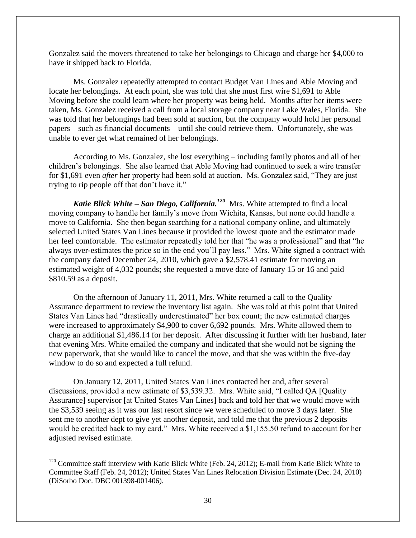Gonzalez said the movers threatened to take her belongings to Chicago and charge her \$4,000 to have it shipped back to Florida.

Ms. Gonzalez repeatedly attempted to contact Budget Van Lines and Able Moving and locate her belongings. At each point, she was told that she must first wire \$1,691 to Able Moving before she could learn where her property was being held. Months after her items were taken, Ms. Gonzalez received a call from a local storage company near Lake Wales, Florida. She was told that her belongings had been sold at auction, but the company would hold her personal papers – such as financial documents – until she could retrieve them. Unfortunately, she was unable to ever get what remained of her belongings.

According to Ms. Gonzalez, she lost everything – including family photos and all of her children's belongings. She also learned that Able Moving had continued to seek a wire transfer for \$1,691 even *after* her property had been sold at auction. Ms. Gonzalez said, "They are just trying to rip people off that don't have it."

*Katie Blick White – San Diego, California.<sup>120</sup>* Mrs. White attempted to find a local moving company to handle her family's move from Wichita, Kansas, but none could handle a move to California. She then began searching for a national company online, and ultimately selected United States Van Lines because it provided the lowest quote and the estimator made her feel comfortable. The estimator repeatedly told her that "he was a professional" and that "he always over-estimates the price so in the end you'll pay less." Mrs. White signed a contract with the company dated December 24, 2010, which gave a \$2,578.41 estimate for moving an estimated weight of 4,032 pounds; she requested a move date of January 15 or 16 and paid \$810.59 as a deposit.

On the afternoon of January 11, 2011, Mrs. White returned a call to the Quality Assurance department to review the inventory list again. She was told at this point that United States Van Lines had "drastically underestimated" her box count; the new estimated charges were increased to approximately \$4,900 to cover 6,692 pounds. Mrs. White allowed them to charge an additional \$1,486.14 for her deposit. After discussing it further with her husband, later that evening Mrs. White emailed the company and indicated that she would not be signing the new paperwork, that she would like to cancel the move, and that she was within the five-day window to do so and expected a full refund.

On January 12, 2011, United States Van Lines contacted her and, after several discussions, provided a new estimate of \$3,539.32. Mrs. White said, "I called QA [Quality Assurance] supervisor [at United States Van Lines] back and told her that we would move with the \$3,539 seeing as it was our last resort since we were scheduled to move 3 days later. She sent me to another dept to give yet another deposit, and told me that the previous 2 deposits would be credited back to my card." Mrs. White received a \$1,155.50 refund to account for her adjusted revised estimate.

 $120$  Committee staff interview with Katie Blick White (Feb. 24, 2012); E-mail from Katie Blick White to Committee Staff (Feb. 24, 2012); United States Van Lines Relocation Division Estimate (Dec. 24, 2010) (DiSorbo Doc. DBC 001398-001406).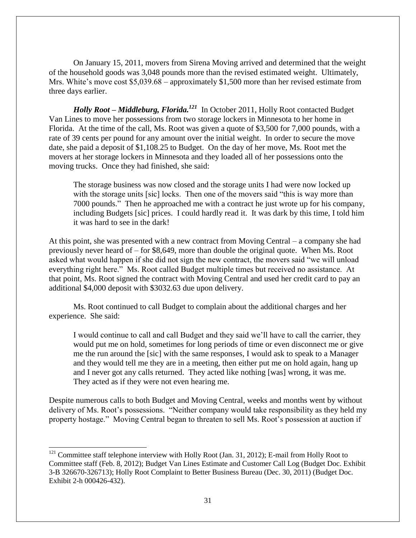On January 15, 2011, movers from Sirena Moving arrived and determined that the weight of the household goods was 3,048 pounds more than the revised estimated weight. Ultimately, Mrs. White's move cost \$5,039.68 – approximately \$1,500 more than her revised estimate from three days earlier.

*Holly Root – Middleburg, Florida.<sup>121</sup>* In October 2011, Holly Root contacted Budget Van Lines to move her possessions from two storage lockers in Minnesota to her home in Florida. At the time of the call, Ms. Root was given a quote of \$3,500 for 7,000 pounds, with a rate of 39 cents per pound for any amount over the initial weight. In order to secure the move date, she paid a deposit of \$1,108.25 to Budget. On the day of her move, Ms. Root met the movers at her storage lockers in Minnesota and they loaded all of her possessions onto the moving trucks. Once they had finished, she said:

The storage business was now closed and the storage units I had were now locked up with the storage units [sic] locks. Then one of the movers said "this is way more than 7000 pounds." Then he approached me with a contract he just wrote up for his company, including Budgets [sic] prices. I could hardly read it. It was dark by this time, I told him it was hard to see in the dark!

At this point, she was presented with a new contract from Moving Central – a company she had previously never heard of – for \$8,649, more than double the original quote. When Ms. Root asked what would happen if she did not sign the new contract, the movers said "we will unload everything right here." Ms. Root called Budget multiple times but received no assistance. At that point, Ms. Root signed the contract with Moving Central and used her credit card to pay an additional \$4,000 deposit with \$3032.63 due upon delivery.

Ms. Root continued to call Budget to complain about the additional charges and her experience. She said:

I would continue to call and call Budget and they said we'll have to call the carrier, they would put me on hold, sometimes for long periods of time or even disconnect me or give me the run around the [sic] with the same responses, I would ask to speak to a Manager and they would tell me they are in a meeting, then either put me on hold again, hang up and I never got any calls returned. They acted like nothing [was] wrong, it was me. They acted as if they were not even hearing me.

Despite numerous calls to both Budget and Moving Central, weeks and months went by without delivery of Ms. Root's possessions. "Neither company would take responsibility as they held my property hostage." Moving Central began to threaten to sell Ms. Root's possession at auction if

 $121$  Committee staff telephone interview with Holly Root (Jan. 31, 2012); E-mail from Holly Root to Committee staff (Feb. 8, 2012); Budget Van Lines Estimate and Customer Call Log (Budget Doc. Exhibit 3-B 326670-326713); Holly Root Complaint to Better Business Bureau (Dec. 30, 2011) (Budget Doc. Exhibit 2-h 000426-432).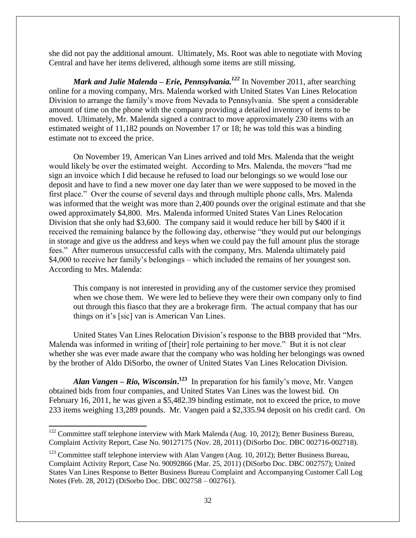she did not pay the additional amount. Ultimately, Ms. Root was able to negotiate with Moving Central and have her items delivered, although some items are still missing.

*Mark and Julie Malenda – Erie, Pennsylvania.<sup>122</sup> In November 2011, after searching* online for a moving company, Mrs. Malenda worked with United States Van Lines Relocation Division to arrange the family's move from Nevada to Pennsylvania. She spent a considerable amount of time on the phone with the company providing a detailed inventory of items to be moved. Ultimately, Mr. Malenda signed a contract to move approximately 230 items with an estimated weight of 11,182 pounds on November 17 or 18; he was told this was a binding estimate not to exceed the price.

On November 19, American Van Lines arrived and told Mrs. Malenda that the weight would likely be over the estimated weight. According to Mrs. Malenda, the movers "had me sign an invoice which I did because he refused to load our belongings so we would lose our deposit and have to find a new mover one day later than we were supposed to be moved in the first place." Over the course of several days and through multiple phone calls, Mrs. Malenda was informed that the weight was more than 2,400 pounds over the original estimate and that she owed approximately \$4,800. Mrs. Malenda informed United States Van Lines Relocation Division that she only had \$3,600. The company said it would reduce her bill by \$400 if it received the remaining balance by the following day, otherwise "they would put our belongings in storage and give us the address and keys when we could pay the full amount plus the storage fees." After numerous unsuccessful calls with the company, Mrs. Malenda ultimately paid \$4,000 to receive her family's belongings – which included the remains of her youngest son. According to Mrs. Malenda:

This company is not interested in providing any of the customer service they promised when we chose them. We were led to believe they were their own company only to find out through this fiasco that they are a brokerage firm. The actual company that has our things on it's [sic] van is American Van Lines.

United States Van Lines Relocation Division's response to the BBB provided that "Mrs. Malenda was informed in writing of [their] role pertaining to her move." But it is not clear whether she was ever made aware that the company who was holding her belongings was owned by the brother of Aldo DiSorbo, the owner of United States Van Lines Relocation Division.

*Alan Vangen – Rio, Wisconsin***. 123** In preparation for his family's move, Mr. Vangen obtained bids from four companies, and United States Van Lines was the lowest bid. On February 16, 2011, he was given a \$5,482.39 binding estimate, not to exceed the price, to move 233 items weighing 13,289 pounds. Mr. Vangen paid a \$2,335.94 deposit on his credit card. On

 $\overline{\phantom{0}}$ 

 $122$  Committee staff telephone interview with Mark Malenda (Aug. 10, 2012); Better Business Bureau, Complaint Activity Report, Case No. 90127175 (Nov. 28, 2011) (DiSorbo Doc. DBC 002716-002718).

 $123$  Committee staff telephone interview with Alan Vangen (Aug. 10, 2012); Better Business Bureau, Complaint Activity Report, Case No. 90092866 (Mar. 25, 2011) (DiSorbo Doc. DBC 002757); United States Van Lines Response to Better Business Bureau Complaint and Accompanying Customer Call Log Notes (Feb. 28, 2012) (DiSorbo Doc. DBC 002758 – 002761).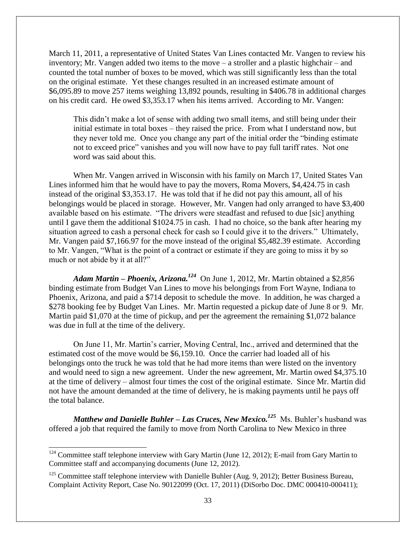March 11, 2011, a representative of United States Van Lines contacted Mr. Vangen to review his inventory; Mr. Vangen added two items to the move – a stroller and a plastic highchair – and counted the total number of boxes to be moved, which was still significantly less than the total on the original estimate. Yet these changes resulted in an increased estimate amount of \$6,095.89 to move 257 items weighing 13,892 pounds, resulting in \$406.78 in additional charges on his credit card. He owed \$3,353.17 when his items arrived. According to Mr. Vangen:

This didn't make a lot of sense with adding two small items, and still being under their initial estimate in total boxes – they raised the price. From what I understand now, but they never told me. Once you change any part of the initial order the "binding estimate not to exceed price" vanishes and you will now have to pay full tariff rates. Not one word was said about this.

When Mr. Vangen arrived in Wisconsin with his family on March 17, United States Van Lines informed him that he would have to pay the movers, Roma Movers, \$4,424.75 in cash instead of the original \$3,353.17. He was told that if he did not pay this amount, all of his belongings would be placed in storage. However, Mr. Vangen had only arranged to have \$3,400 available based on his estimate. "The drivers were steadfast and refused to due [sic] anything until I gave them the additional \$1024.75 in cash. I had no choice, so the bank after hearing my situation agreed to cash a personal check for cash so I could give it to the drivers." Ultimately, Mr. Vangen paid \$7,166.97 for the move instead of the original \$5,482.39 estimate. According to Mr. Vangen, "What is the point of a contract or estimate if they are going to miss it by so much or not abide by it at all?"

*Adam Martin – Phoenix, Arizona.<sup>124</sup>* On June 1, 2012, Mr. Martin obtained a \$2,856 binding estimate from Budget Van Lines to move his belongings from Fort Wayne, Indiana to Phoenix, Arizona, and paid a \$714 deposit to schedule the move. In addition, he was charged a \$278 booking fee by Budget Van Lines. Mr. Martin requested a pickup date of June 8 or 9. Mr. Martin paid \$1,070 at the time of pickup, and per the agreement the remaining \$1,072 balance was due in full at the time of the delivery.

On June 11, Mr. Martin's carrier, Moving Central, Inc., arrived and determined that the estimated cost of the move would be \$6,159.10. Once the carrier had loaded all of his belongings onto the truck he was told that he had more items than were listed on the inventory and would need to sign a new agreement. Under the new agreement, Mr. Martin owed \$4,375.10 at the time of delivery – almost four times the cost of the original estimate. Since Mr. Martin did not have the amount demanded at the time of delivery, he is making payments until he pays off the total balance.

*Matthew and Danielle Buhler – Las Cruces, New Mexico.<sup>125</sup> Ms. Buhler's husband was* offered a job that required the family to move from North Carolina to New Mexico in three

 $124$  Committee staff telephone interview with Gary Martin (June 12, 2012); E-mail from Gary Martin to Committee staff and accompanying documents (June 12, 2012).

 $125$  Committee staff telephone interview with Danielle Buhler (Aug. 9, 2012); Better Business Bureau, Complaint Activity Report, Case No. 90122099 (Oct. 17, 2011) (DiSorbo Doc. DMC 000410-000411);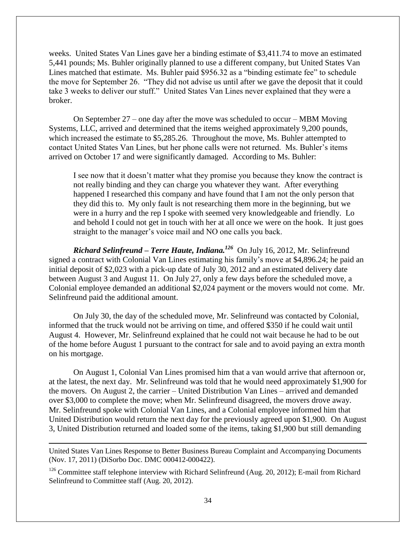weeks. United States Van Lines gave her a binding estimate of \$3,411.74 to move an estimated 5,441 pounds; Ms. Buhler originally planned to use a different company, but United States Van Lines matched that estimate. Ms. Buhler paid \$956.32 as a "binding estimate fee" to schedule the move for September 26. "They did not advise us until after we gave the deposit that it could take 3 weeks to deliver our stuff." United States Van Lines never explained that they were a broker.

On September 27 – one day after the move was scheduled to occur – MBM Moving Systems, LLC, arrived and determined that the items weighed approximately 9,200 pounds, which increased the estimate to \$5,285.26.Throughout the move, Ms. Buhler attempted to contact United States Van Lines, but her phone calls were not returned. Ms. Buhler's items arrived on October 17 and were significantly damaged. According to Ms. Buhler:

I see now that it doesn't matter what they promise you because they know the contract is not really binding and they can charge you whatever they want. After everything happened I researched this company and have found that I am not the only person that they did this to. My only fault is not researching them more in the beginning, but we were in a hurry and the rep I spoke with seemed very knowledgeable and friendly. Lo and behold I could not get in touch with her at all once we were on the hook. It just goes straight to the manager's voice mail and NO one calls you back.

*Richard Selinfreund – Terre Haute, Indiana. 126* On July 16, 2012, Mr. Selinfreund signed a contract with Colonial Van Lines estimating his family's move at \$4,896.24; he paid an initial deposit of \$2,023 with a pick-up date of July 30, 2012 and an estimated delivery date between August 3 and August 11. On July 27, only a few days before the scheduled move, a Colonial employee demanded an additional \$2,024 payment or the movers would not come. Mr. Selinfreund paid the additional amount.

On July 30, the day of the scheduled move, Mr. Selinfreund was contacted by Colonial, informed that the truck would not be arriving on time, and offered \$350 if he could wait until August 4. However, Mr. Selinfreund explained that he could not wait because he had to be out of the home before August 1 pursuant to the contract for sale and to avoid paying an extra month on his mortgage.

On August 1, Colonial Van Lines promised him that a van would arrive that afternoon or, at the latest, the next day. Mr. Selinfreund was told that he would need approximately \$1,900 for the movers. On August 2, the carrier – United Distribution Van Lines – arrived and demanded over \$3,000 to complete the move; when Mr. Selinfreund disagreed, the movers drove away. Mr. Selinfreund spoke with Colonial Van Lines, and a Colonial employee informed him that United Distribution would return the next day for the previously agreed upon \$1,900. On August 3, United Distribution returned and loaded some of the items, taking \$1,900 but still demanding

United States Van Lines Response to Better Business Bureau Complaint and Accompanying Documents (Nov. 17, 2011) (DiSorbo Doc. DMC 000412-000422).

l

 $126$  Committee staff telephone interview with Richard Selinfreund (Aug. 20, 2012); E-mail from Richard Selinfreund to Committee staff (Aug. 20, 2012).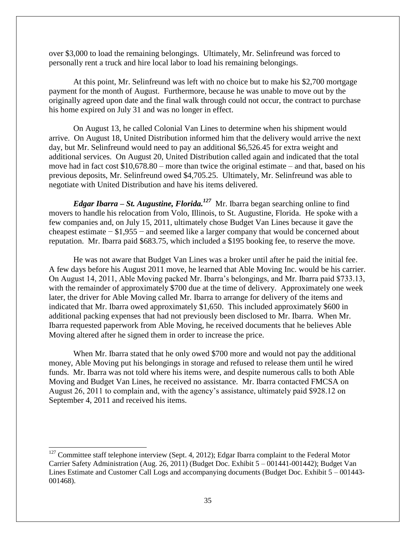over \$3,000 to load the remaining belongings. Ultimately, Mr. Selinfreund was forced to personally rent a truck and hire local labor to load his remaining belongings.

At this point, Mr. Selinfreund was left with no choice but to make his \$2,700 mortgage payment for the month of August. Furthermore, because he was unable to move out by the originally agreed upon date and the final walk through could not occur, the contract to purchase his home expired on July 31 and was no longer in effect.

On August 13, he called Colonial Van Lines to determine when his shipment would arrive. On August 18, United Distribution informed him that the delivery would arrive the next day, but Mr. Selinfreund would need to pay an additional \$6,526.45 for extra weight and additional services. On August 20, United Distribution called again and indicated that the total move had in fact cost \$10,678.80 – more than twice the original estimate – and that, based on his previous deposits, Mr. Selinfreund owed \$4,705.25. Ultimately, Mr. Selinfreund was able to negotiate with United Distribution and have his items delivered.

*Edgar Ibarra – St. Augustine, Florida. <sup>127</sup>* Mr. Ibarra began searching online to find movers to handle his relocation from Volo, Illinois, to St. Augustine, Florida. He spoke with a few companies and, on July 15, 2011, ultimately chose Budget Van Lines because it gave the cheapest estimate − \$1,955 − and seemed like a larger company that would be concerned about reputation. Mr. Ibarra paid \$683.75, which included a \$195 booking fee, to reserve the move.

He was not aware that Budget Van Lines was a broker until after he paid the initial fee. A few days before his August 2011 move, he learned that Able Moving Inc. would be his carrier. On August 14, 2011, Able Moving packed Mr. Ibarra's belongings, and Mr. Ibarra paid \$733.13, with the remainder of approximately \$700 due at the time of delivery. Approximately one week later, the driver for Able Moving called Mr. Ibarra to arrange for delivery of the items and indicated that Mr. Ibarra owed approximately \$1,650. This included approximately \$600 in additional packing expenses that had not previously been disclosed to Mr. Ibarra. When Mr. Ibarra requested paperwork from Able Moving, he received documents that he believes Able Moving altered after he signed them in order to increase the price.

When Mr. Ibarra stated that he only owed \$700 more and would not pay the additional money, Able Moving put his belongings in storage and refused to release them until he wired funds. Mr. Ibarra was not told where his items were, and despite numerous calls to both Able Moving and Budget Van Lines, he received no assistance. Mr. Ibarra contacted FMCSA on August 26, 2011 to complain and, with the agency's assistance, ultimately paid \$928.12 on September 4, 2011 and received his items.

 $127$  Committee staff telephone interview (Sept. 4, 2012); Edgar Ibarra complaint to the Federal Motor Carrier Safety Administration (Aug. 26, 2011) (Budget Doc. Exhibit 5 – 001441-001442); Budget Van Lines Estimate and Customer Call Logs and accompanying documents (Budget Doc. Exhibit 5 – 001443- 001468).